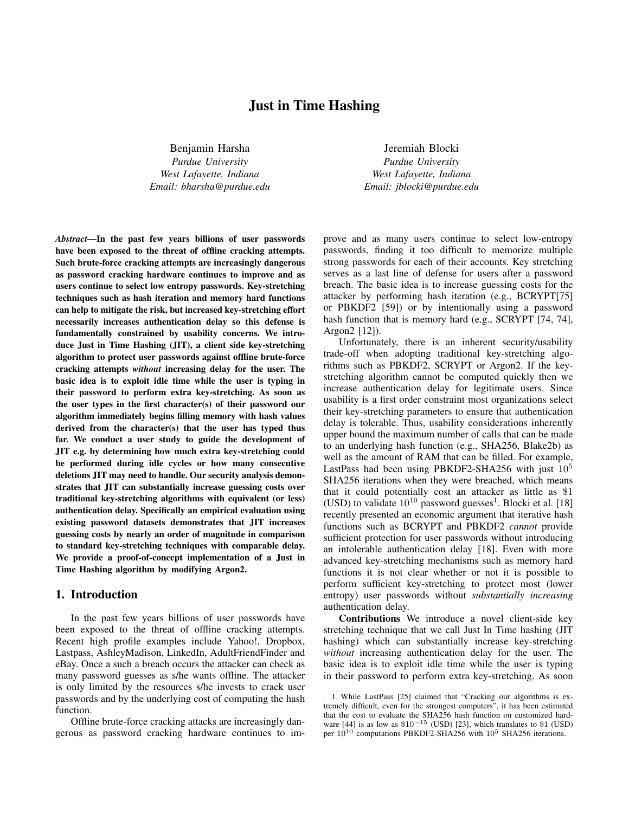# Just in Time Hashing

Benjamin Harsha *Purdue University West Lafayette, Indiana Email: bharsha@purdue.edu*

*Abstract*—In the past few years billions of user passwords have been exposed to the threat of offline cracking attempts. Such brute-force cracking attempts are increasingly dangerous as password cracking hardware continues to improve and as users continue to select low entropy passwords. Key-stretching techniques such as hash iteration and memory hard functions can help to mitigate the risk, but increased key-stretching effort necessarily increases authentication delay so this defense is fundamentally constrained by usability concerns. We introduce Just in Time Hashing (JIT), a client side key-stretching algorithm to protect user passwords against offline brute-force cracking attempts *without* increasing delay for the user. The basic idea is to exploit idle time while the user is typing in their password to perform extra key-stretching. As soon as the user types in the first character(s) of their password our algorithm immediately begins filling memory with hash values derived from the character(s) that the user has typed thus far. We conduct a user study to guide the development of JIT e.g. by determining how much extra key-stretching could be performed during idle cycles or how many consecutive deletions JIT may need to handle. Our security analysis demonstrates that JIT can substantially increase guessing costs over traditional key-stretching algorithms with equivalent (or less) authentication delay. Specifically an empirical evaluation using existing password datasets demonstrates that JIT increases guessing costs by nearly an order of magnitude in comparison to standard key-stretching techniques with comparable delay. We provide a proof-of-concept implementation of a Just in Time Hashing algorithm by modifying Argon2.

## 1. Introduction

In the past few years billions of user passwords have been exposed to the threat of offline cracking attempts. Recent high profile examples include Yahoo!, Dropbox, Lastpass, AshleyMadison, LinkedIn, AdultFriendFinder and eBay. Once a such a breach occurs the attacker can check as many password guesses as s/he wants offline. The attacker is only limited by the resources s/he invests to crack user passwords and by the underlying cost of computing the hash function.

Offline brute-force cracking attacks are increasingly dangerous as password cracking hardware continues to im-

Jeremiah Blocki *Purdue University West Lafayette, Indiana Email: jblocki@purdue.edu*

prove and as many users continue to select low-entropy passwords, finding it too difficult to memorize multiple strong passwords for each of their accounts. Key stretching serves as a last line of defense for users after a password breach. The basic idea is to increase guessing costs for the attacker by performing hash iteration (e.g., BCRYPT[75] or PBKDF2 [59]) or by intentionally using a password hash function that is memory hard (e.g., SCRYPT [74, 74], Argon2 [12]).

Unfortunately, there is an inherent security/usability trade-off when adopting traditional key-stretching algorithms such as PBKDF2, SCRYPT or Argon2. If the keystretching algorithm cannot be computed quickly then we increase authentication delay for legitimate users. Since usability is a first order constraint most organizations select their key-stretching parameters to ensure that authentication delay is tolerable. Thus, usability considerations inherently upper bound the maximum number of calls that can be made to an underlying hash function (e.g., SHA256, Blake2b) as well as the amount of RAM that can be filled. For example, LastPass had been using PBKDF2-SHA256 with just  $10^5$ SHA256 iterations when they were breached, which means that it could potentially cost an attacker as little as \$1 (USD) to validate  $10^{10}$  password guesses<sup>1</sup>. Blocki et al. [18] recently presented an economic argument that iterative hash functions such as BCRYPT and PBKDF2 *cannot* provide sufficient protection for user passwords without introducing an intolerable authentication delay [18]. Even with more advanced key-stretching mechanisms such as memory hard functions it is not clear whether or not it is possible to perform sufficient key-stretching to protect most (lower entropy) user passwords without *substantially increasing* authentication delay.

Contributions We introduce a novel client-side key stretching technique that we call Just In Time hashing (JIT hashing) which can substantially increase key-stretching *without* increasing authentication delay for the user. The basic idea is to exploit idle time while the user is typing in their password to perform extra key-stretching. As soon

<sup>1.</sup> While LastPass [25] claimed that "Cracking our algorithms is extremely difficult, even for the strongest computers", it has been estimated that the cost to evaluate the SHA256 hash function on customized hardware [44] is as low as \$10<sup>-15</sup> (USD) [23], which translates to \$1 (USD) per  $10^{10}$  computations PBKDF2-SHA256 with  $10^5$  SHA256 iterations.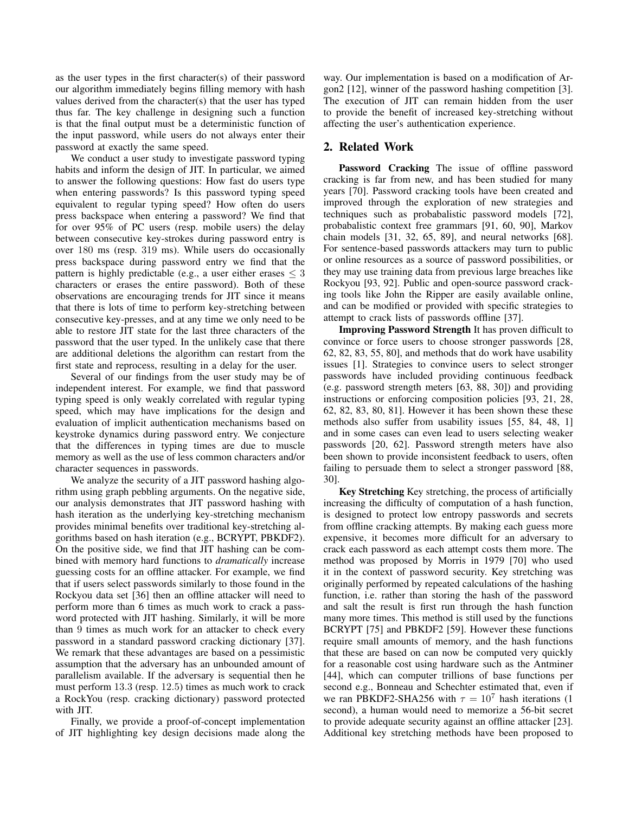as the user types in the first character(s) of their password our algorithm immediately begins filling memory with hash values derived from the character(s) that the user has typed thus far. The key challenge in designing such a function is that the final output must be a deterministic function of the input password, while users do not always enter their password at exactly the same speed.

We conduct a user study to investigate password typing habits and inform the design of JIT. In particular, we aimed to answer the following questions: How fast do users type when entering passwords? Is this password typing speed equivalent to regular typing speed? How often do users press backspace when entering a password? We find that for over 95% of PC users (resp. mobile users) the delay between consecutive key-strokes during password entry is over 180 ms (resp. 319 ms). While users do occasionally press backspace during password entry we find that the pattern is highly predictable (e.g., a user either erases  $\leq 3$ ) characters or erases the entire password). Both of these observations are encouraging trends for JIT since it means that there is lots of time to perform key-stretching between consecutive key-presses, and at any time we only need to be able to restore JIT state for the last three characters of the password that the user typed. In the unlikely case that there are additional deletions the algorithm can restart from the first state and reprocess, resulting in a delay for the user.

Several of our findings from the user study may be of independent interest. For example, we find that password typing speed is only weakly correlated with regular typing speed, which may have implications for the design and evaluation of implicit authentication mechanisms based on keystroke dynamics during password entry. We conjecture that the differences in typing times are due to muscle memory as well as the use of less common characters and/or character sequences in passwords.

We analyze the security of a JIT password hashing algorithm using graph pebbling arguments. On the negative side, our analysis demonstrates that JIT password hashing with hash iteration as the underlying key-stretching mechanism provides minimal benefits over traditional key-stretching algorithms based on hash iteration (e.g., BCRYPT, PBKDF2). On the positive side, we find that JIT hashing can be combined with memory hard functions to *dramatically* increase guessing costs for an offline attacker. For example, we find that if users select passwords similarly to those found in the Rockyou data set [36] then an offline attacker will need to perform more than 6 times as much work to crack a password protected with JIT hashing. Similarly, it will be more than 9 times as much work for an attacker to check every password in a standard password cracking dictionary [37]. We remark that these advantages are based on a pessimistic assumption that the adversary has an unbounded amount of parallelism available. If the adversary is sequential then he must perform 13.3 (resp. 12.5) times as much work to crack a RockYou (resp. cracking dictionary) password protected with JIT.

Finally, we provide a proof-of-concept implementation of JIT highlighting key design decisions made along the way. Our implementation is based on a modification of Argon2 [12], winner of the password hashing competition [3]. The execution of JIT can remain hidden from the user to provide the benefit of increased key-stretching without affecting the user's authentication experience.

## 2. Related Work

Password Cracking The issue of offline password cracking is far from new, and has been studied for many years [70]. Password cracking tools have been created and improved through the exploration of new strategies and techniques such as probabalistic password models [72], probabalistic context free grammars [91, 60, 90], Markov chain models [31, 32, 65, 89], and neural networks [68]. For sentence-based passwords attackers may turn to public or online resources as a source of password possibilities, or they may use training data from previous large breaches like Rockyou [93, 92]. Public and open-source password cracking tools like John the Ripper are easily available online, and can be modified or provided with specific strategies to attempt to crack lists of passwords offline [37].

Improving Password Strength It has proven difficult to convince or force users to choose stronger passwords [28, 62, 82, 83, 55, 80], and methods that do work have usability issues [1]. Strategies to convince users to select stronger passwords have included providing continuous feedback (e.g. password strength meters [63, 88, 30]) and providing instructions or enforcing composition policies [93, 21, 28, 62, 82, 83, 80, 81]. However it has been shown these these methods also suffer from usability issues [55, 84, 48, 1] and in some cases can even lead to users selecting weaker passwords [20, 62]. Password strength meters have also been shown to provide inconsistent feedback to users, often failing to persuade them to select a stronger password [88, 30].

Key Stretching Key stretching, the process of artificially increasing the difficulty of computation of a hash function, is designed to protect low entropy passwords and secrets from offline cracking attempts. By making each guess more expensive, it becomes more difficult for an adversary to crack each password as each attempt costs them more. The method was proposed by Morris in 1979 [70] who used it in the context of password security. Key stretching was originally performed by repeated calculations of the hashing function, i.e. rather than storing the hash of the password and salt the result is first run through the hash function many more times. This method is still used by the functions BCRYPT [75] and PBKDF2 [59]. However these functions require small amounts of memory, and the hash functions that these are based on can now be computed very quickly for a reasonable cost using hardware such as the Antminer [44], which can computer trillions of base functions per second e.g., Bonneau and Schechter estimated that, even if we ran PBKDF2-SHA256 with  $\tau = 10^7$  hash iterations (1) second), a human would need to memorize a 56-bit secret to provide adequate security against an offline attacker [23]. Additional key stretching methods have been proposed to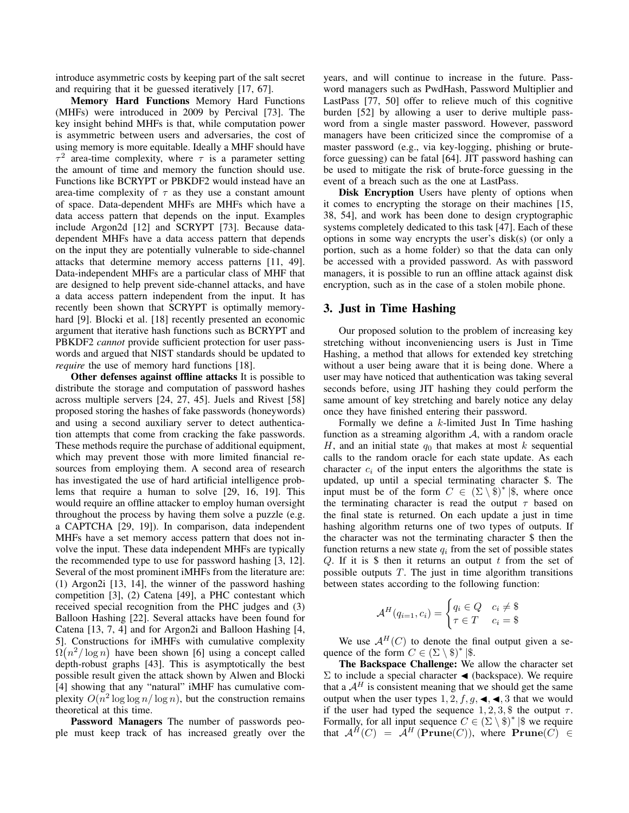introduce asymmetric costs by keeping part of the salt secret and requiring that it be guessed iteratively [17, 67].

Memory Hard Functions Memory Hard Functions (MHFs) were introduced in 2009 by Percival [73]. The key insight behind MHFs is that, while computation power is asymmetric between users and adversaries, the cost of using memory is more equitable. Ideally a MHF should have  $\tau^2$  area-time complexity, where  $\tau$  is a parameter setting the amount of time and memory the function should use. Functions like BCRYPT or PBKDF2 would instead have an area-time complexity of  $\tau$  as they use a constant amount of space. Data-dependent MHFs are MHFs which have a data access pattern that depends on the input. Examples include Argon2d [12] and SCRYPT [73]. Because datadependent MHFs have a data access pattern that depends on the input they are potentially vulnerable to side-channel attacks that determine memory access patterns [11, 49]. Data-independent MHFs are a particular class of MHF that are designed to help prevent side-channel attacks, and have a data access pattern independent from the input. It has recently been shown that SCRYPT is optimally memoryhard [9]. Blocki et al. [18] recently presented an economic argument that iterative hash functions such as BCRYPT and PBKDF2 *cannot* provide sufficient protection for user passwords and argued that NIST standards should be updated to *require* the use of memory hard functions [18].

Other defenses against offline attacks It is possible to distribute the storage and computation of password hashes across multiple servers [24, 27, 45]. Juels and Rivest [58] proposed storing the hashes of fake passwords (honeywords) and using a second auxiliary server to detect authentication attempts that come from cracking the fake passwords. These methods require the purchase of additional equipment, which may prevent those with more limited financial resources from employing them. A second area of research has investigated the use of hard artificial intelligence problems that require a human to solve [29, 16, 19]. This would require an offline attacker to employ human oversight throughout the process by having them solve a puzzle (e.g. a CAPTCHA [29, 19]). In comparison, data independent MHFs have a set memory access pattern that does not involve the input. These data independent MHFs are typically the recommended type to use for password hashing [3, 12]. Several of the most prominent iMHFs from the literature are: (1) Argon2i [13, 14], the winner of the password hashing competition [3], (2) Catena [49], a PHC contestant which received special recognition from the PHC judges and (3) Balloon Hashing [22]. Several attacks have been found for Catena [13, 7, 4] and for Argon2i and Balloon Hashing [4, 5]. Constructions for iMHFs with cumulative complexity  $\Omega(n^2/\log n)$  have been shown [6] using a concept called depth-robust graphs [43]. This is asymptotically the best possible result given the attack shown by Alwen and Blocki [4] showing that any "natural" iMHF has cumulative complexity  $O(n^2 \log \log n / \log n)$ , but the construction remains theoretical at this time.

Password Managers The number of passwords people must keep track of has increased greatly over the years, and will continue to increase in the future. Password managers such as PwdHash, Password Multiplier and LastPass [77, 50] offer to relieve much of this cognitive burden [52] by allowing a user to derive multiple password from a single master password. However, password managers have been criticized since the compromise of a master password (e.g., via key-logging, phishing or bruteforce guessing) can be fatal [64]. JIT password hashing can be used to mitigate the risk of brute-force guessing in the event of a breach such as the one at LastPass.

Disk Encryption Users have plenty of options when it comes to encrypting the storage on their machines [15, 38, 54], and work has been done to design cryptographic systems completely dedicated to this task [47]. Each of these options in some way encrypts the user's disk(s) (or only a portion, such as a home folder) so that the data can only be accessed with a provided password. As with password managers, it is possible to run an offline attack against disk encryption, such as in the case of a stolen mobile phone.

## 3. Just in Time Hashing

Our proposed solution to the problem of increasing key stretching without inconveniencing users is Just in Time Hashing, a method that allows for extended key stretching without a user being aware that it is being done. Where a user may have noticed that authentication was taking several seconds before, using JIT hashing they could perform the same amount of key stretching and barely notice any delay once they have finished entering their password.

Formally we define a  $k$ -limited Just In Time hashing function as a streaming algorithm  $A$ , with a random oracle H, and an initial state  $q_0$  that makes at most k sequential calls to the random oracle for each state update. As each character  $c_i$  of the input enters the algorithms the state is updated, up until a special terminating character \$. The input must be of the form  $C \in (\Sigma \setminus \mathfrak{F})^* | \mathfrak{F}$ , where once the terminating character is read the output  $\tau$  based on the final state is returned. On each update a just in time hashing algorithm returns one of two types of outputs. If the character was not the terminating character \$ then the function returns a new state  $q_i$  from the set of possible states Q. If it is  $\oint$  then it returns an output t from the set of possible outputs  $T$ . The just in time algorithm transitions between states according to the following function:

$$
\mathcal{A}^H(q_{i=1}, c_i) = \begin{cases} q_i \in Q & c_i \neq \text{\$}\\ \tau \in T & c_i = \text{\$} \end{cases}
$$

We use  $A^H(C)$  to denote the final output given a sequence of the form  $C \in (\Sigma \setminus \text{\$})^*$  | \$.

The Backspace Challenge: We allow the character set Σ to include a special character  $\blacktriangleleft$  (backspace). We require that a  $A<sup>H</sup>$  is consistent meaning that we should get the same output when the user types  $1, 2, f, g, \blacktriangleleft, \blacktriangleleft, 3$  that we would if the user had typed the sequence  $1, 2, 3,$  \$ the output  $\tau$ . Formally, for all input sequence  $C \in (\Sigma \setminus \hat{\mathbb{S}})^*$   $|\hat{\mathbb{S}}|$  we require that  ${\cal A}^H(C) = {\cal A}^H(\textbf{Prune}(C)),$  where  $\textbf{Prune}(C) \in$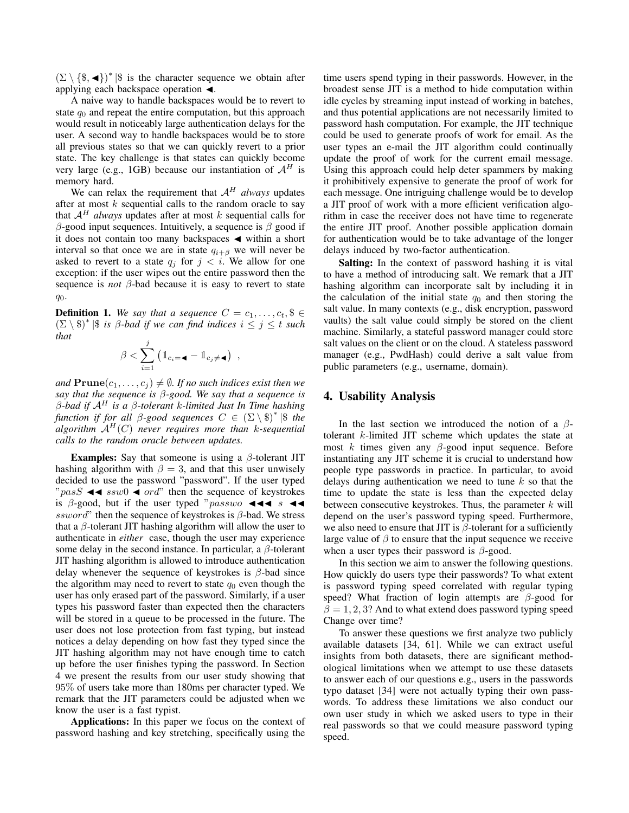$(\Sigma \setminus {\{\$\} , \blacktriangleleft\})^*$  |\$ is the character sequence we obtain after applying each backspace operation  $\triangleleft$ .

A naive way to handle backspaces would be to revert to state  $q_0$  and repeat the entire computation, but this approach would result in noticeably large authentication delays for the user. A second way to handle backspaces would be to store all previous states so that we can quickly revert to a prior state. The key challenge is that states can quickly become very large (e.g., 1GB) because our instantiation of  $A<sup>H</sup>$  is memory hard.

We can relax the requirement that  $A<sup>H</sup>$  *always* updates after at most  $k$  sequential calls to the random oracle to say that  $A<sup>H</sup>$  *always* updates after at most k sequential calls for β-good input sequences. Intuitively, a sequence is β good if it does not contain too many backspaces  $\triangleleft$  within a short interval so that once we are in state  $q_{i+\beta}$  we will never be asked to revert to a state  $q_j$  for  $j < i$ . We allow for one exception: if the user wipes out the entire password then the sequence is *not*  $\beta$ -bad because it is easy to revert to state  $q_0$ .

**Definition 1.** We say that a sequence  $C = c_1, \ldots, c_t, \$ \in \{$  $(\Sigma \setminus \text{\$})^*$   $|\text{\$}$  *is*  $\beta$ -bad if we can find indices  $i \leq j \leq t$  such *that*

$$
\beta < \sum_{i=1}^{j} \left( \mathbbm{1}_{c_i = \mathbf{I}} - \mathbbm{1}_{c_j \neq \mathbf{I}} \right) ,
$$

*and*  $\text{Prune}(c_1, \ldots, c_j) \neq \emptyset$ . If no such indices exist then we *say that the sequence is* β*-good. We say that a sequence is* β*-bad if* A<sup>H</sup> *is a* β*-tolerant* k*-limited Just In Time hashing function if for all* β*-good sequences* C ∈ (Σ \ \$)<sup>∗</sup> |\$ *the algorithm*  $A^H(C)$  *never requires more than k*-sequential *calls to the random oracle between updates.*

**Examples:** Say that someone is using a  $\beta$ -tolerant JIT hashing algorithm with  $\beta = 3$ , and that this user unwisely decided to use the password "password". If the user typed " $pass \triangleleft \triangleleft ssw0 \triangleleft ord$ " then the sequence of keystrokes is  $\beta$ -good, but if the user typed "passwo  $\blacktriangleleft \blacktriangleleft \blacktriangleleft s$   $\blacktriangleleft \blacktriangleleft \blacktriangleleft s$ ssword" then the sequence of keystrokes is  $\beta$ -bad. We stress that a  $\beta$ -tolerant JIT hashing algorithm will allow the user to authenticate in *either* case, though the user may experience some delay in the second instance. In particular, a  $\beta$ -tolerant JIT hashing algorithm is allowed to introduce authentication delay whenever the sequence of keystrokes is  $\beta$ -bad since the algorithm may need to revert to state  $q_0$  even though the user has only erased part of the password. Similarly, if a user types his password faster than expected then the characters will be stored in a queue to be processed in the future. The user does not lose protection from fast typing, but instead notices a delay depending on how fast they typed since the JIT hashing algorithm may not have enough time to catch up before the user finishes typing the password. In Section 4 we present the results from our user study showing that 95% of users take more than 180ms per character typed. We remark that the JIT parameters could be adjusted when we know the user is a fast typist.

Applications: In this paper we focus on the context of password hashing and key stretching, specifically using the time users spend typing in their passwords. However, in the broadest sense JIT is a method to hide computation within idle cycles by streaming input instead of working in batches, and thus potential applications are not necessarily limited to password hash computation. For example, the JIT technique could be used to generate proofs of work for email. As the user types an e-mail the JIT algorithm could continually update the proof of work for the current email message. Using this approach could help deter spammers by making it prohibitively expensive to generate the proof of work for each message. One intriguing challenge would be to develop a JIT proof of work with a more efficient verification algorithm in case the receiver does not have time to regenerate the entire JIT proof. Another possible application domain for authentication would be to take advantage of the longer delays induced by two-factor authentication.

Salting: In the context of password hashing it is vital to have a method of introducing salt. We remark that a JIT hashing algorithm can incorporate salt by including it in the calculation of the initial state  $q_0$  and then storing the salt value. In many contexts (e.g., disk encryption, password vaults) the salt value could simply be stored on the client machine. Similarly, a stateful password manager could store salt values on the client or on the cloud. A stateless password manager (e.g., PwdHash) could derive a salt value from public parameters (e.g., username, domain).

## 4. Usability Analysis

In the last section we introduced the notion of a  $\beta$ tolerant k-limited JIT scheme which updates the state at most k times given any  $\beta$ -good input sequence. Before instantiating any JIT scheme it is crucial to understand how people type passwords in practice. In particular, to avoid delays during authentication we need to tune  $k$  so that the time to update the state is less than the expected delay between consecutive keystrokes. Thus, the parameter  $k$  will depend on the user's password typing speed. Furthermore, we also need to ensure that JIT is  $\beta$ -tolerant for a sufficiently large value of  $\beta$  to ensure that the input sequence we receive when a user types their password is  $\beta$ -good.

In this section we aim to answer the following questions. How quickly do users type their passwords? To what extent is password typing speed correlated with regular typing speed? What fraction of login attempts are  $\beta$ -good for  $\beta = 1, 2, 3$ ? And to what extend does password typing speed Change over time?

To answer these questions we first analyze two publicly available datasets [34, 61]. While we can extract useful insights from both datasets, there are significant methodological limitations when we attempt to use these datasets to answer each of our questions e.g., users in the passwords typo dataset [34] were not actually typing their own passwords. To address these limitations we also conduct our own user study in which we asked users to type in their real passwords so that we could measure password typing speed.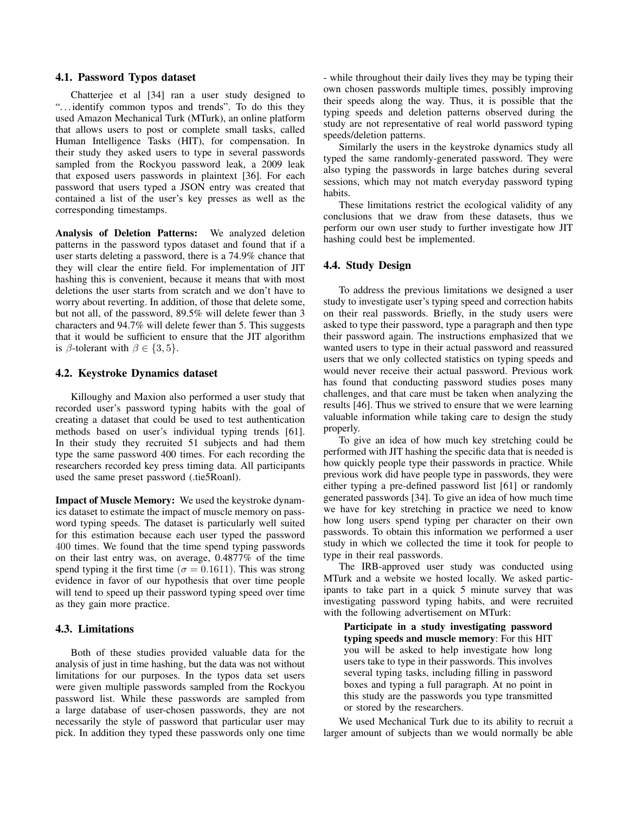#### 4.1. Password Typos dataset

Chatterjee et al [34] ran a user study designed to "... identify common typos and trends". To do this they used Amazon Mechanical Turk (MTurk), an online platform that allows users to post or complete small tasks, called Human Intelligence Tasks (HIT), for compensation. In their study they asked users to type in several passwords sampled from the Rockyou password leak, a 2009 leak that exposed users passwords in plaintext [36]. For each password that users typed a JSON entry was created that contained a list of the user's key presses as well as the corresponding timestamps.

Analysis of Deletion Patterns: We analyzed deletion patterns in the password typos dataset and found that if a user starts deleting a password, there is a 74.9% chance that they will clear the entire field. For implementation of JIT hashing this is convenient, because it means that with most deletions the user starts from scratch and we don't have to worry about reverting. In addition, of those that delete some, but not all, of the password, 89.5% will delete fewer than 3 characters and 94.7% will delete fewer than 5. This suggests that it would be sufficient to ensure that the JIT algorithm is  $\beta$ -tolerant with  $\beta \in \{3, 5\}$ .

#### 4.2. Keystroke Dynamics dataset

Killoughy and Maxion also performed a user study that recorded user's password typing habits with the goal of creating a dataset that could be used to test authentication methods based on user's individual typing trends [61]. In their study they recruited 51 subjects and had them type the same password 400 times. For each recording the researchers recorded key press timing data. All participants used the same preset password (.tie5Roanl).

Impact of Muscle Memory: We used the keystroke dynamics dataset to estimate the impact of muscle memory on password typing speeds. The dataset is particularly well suited for this estimation because each user typed the password 400 times. We found that the time spend typing passwords on their last entry was, on average, 0.4877% of the time spend typing it the first time ( $\sigma = 0.1611$ ). This was strong evidence in favor of our hypothesis that over time people will tend to speed up their password typing speed over time as they gain more practice.

## 4.3. Limitations

Both of these studies provided valuable data for the analysis of just in time hashing, but the data was not without limitations for our purposes. In the typos data set users were given multiple passwords sampled from the Rockyou password list. While these passwords are sampled from a large database of user-chosen passwords, they are not necessarily the style of password that particular user may pick. In addition they typed these passwords only one time - while throughout their daily lives they may be typing their own chosen passwords multiple times, possibly improving their speeds along the way. Thus, it is possible that the typing speeds and deletion patterns observed during the study are not representative of real world password typing speeds/deletion patterns.

Similarly the users in the keystroke dynamics study all typed the same randomly-generated password. They were also typing the passwords in large batches during several sessions, which may not match everyday password typing habits.

These limitations restrict the ecological validity of any conclusions that we draw from these datasets, thus we perform our own user study to further investigate how JIT hashing could best be implemented.

## 4.4. Study Design

To address the previous limitations we designed a user study to investigate user's typing speed and correction habits on their real passwords. Briefly, in the study users were asked to type their password, type a paragraph and then type their password again. The instructions emphasized that we wanted users to type in their actual password and reassured users that we only collected statistics on typing speeds and would never receive their actual password. Previous work has found that conducting password studies poses many challenges, and that care must be taken when analyzing the results [46]. Thus we strived to ensure that we were learning valuable information while taking care to design the study properly.

To give an idea of how much key stretching could be performed with JIT hashing the specific data that is needed is how quickly people type their passwords in practice. While previous work did have people type in passwords, they were either typing a pre-defined password list [61] or randomly generated passwords [34]. To give an idea of how much time we have for key stretching in practice we need to know how long users spend typing per character on their own passwords. To obtain this information we performed a user study in which we collected the time it took for people to type in their real passwords.

The IRB-approved user study was conducted using MTurk and a website we hosted locally. We asked participants to take part in a quick 5 minute survey that was investigating password typing habits, and were recruited with the following advertisement on MTurk:

Participate in a study investigating password typing speeds and muscle memory: For this HIT you will be asked to help investigate how long users take to type in their passwords. This involves several typing tasks, including filling in password boxes and typing a full paragraph. At no point in this study are the passwords you type transmitted or stored by the researchers.

We used Mechanical Turk due to its ability to recruit a larger amount of subjects than we would normally be able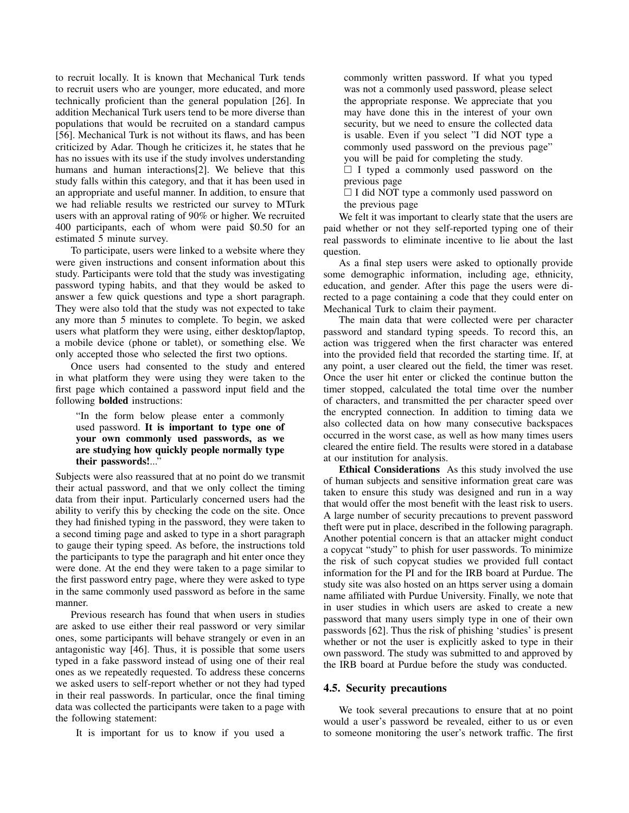to recruit locally. It is known that Mechanical Turk tends to recruit users who are younger, more educated, and more technically proficient than the general population [26]. In addition Mechanical Turk users tend to be more diverse than populations that would be recruited on a standard campus [56]. Mechanical Turk is not without its flaws, and has been criticized by Adar. Though he criticizes it, he states that he has no issues with its use if the study involves understanding humans and human interactions[2]. We believe that this study falls within this category, and that it has been used in an appropriate and useful manner. In addition, to ensure that we had reliable results we restricted our survey to MTurk users with an approval rating of 90% or higher. We recruited 400 participants, each of whom were paid \$0.50 for an estimated 5 minute survey.

To participate, users were linked to a website where they were given instructions and consent information about this study. Participants were told that the study was investigating password typing habits, and that they would be asked to answer a few quick questions and type a short paragraph. They were also told that the study was not expected to take any more than 5 minutes to complete. To begin, we asked users what platform they were using, either desktop/laptop, a mobile device (phone or tablet), or something else. We only accepted those who selected the first two options.

Once users had consented to the study and entered in what platform they were using they were taken to the first page which contained a password input field and the following bolded instructions:

## "In the form below please enter a commonly used password. It is important to type one of your own commonly used passwords, as we are studying how quickly people normally type their passwords!..."

Subjects were also reassured that at no point do we transmit their actual password, and that we only collect the timing data from their input. Particularly concerned users had the ability to verify this by checking the code on the site. Once they had finished typing in the password, they were taken to a second timing page and asked to type in a short paragraph to gauge their typing speed. As before, the instructions told the participants to type the paragraph and hit enter once they were done. At the end they were taken to a page similar to the first password entry page, where they were asked to type in the same commonly used password as before in the same manner.

Previous research has found that when users in studies are asked to use either their real password or very similar ones, some participants will behave strangely or even in an antagonistic way [46]. Thus, it is possible that some users typed in a fake password instead of using one of their real ones as we repeatedly requested. To address these concerns we asked users to self-report whether or not they had typed in their real passwords. In particular, once the final timing data was collected the participants were taken to a page with the following statement:

It is important for us to know if you used a

commonly written password. If what you typed was not a commonly used password, please select the appropriate response. We appreciate that you may have done this in the interest of your own security, but we need to ensure the collected data is usable. Even if you select "I did NOT type a commonly used password on the previous page" you will be paid for completing the study.

 $\Box$  I typed a commonly used password on the previous page

 $\Box$  I did NOT type a commonly used password on the previous page

We felt it was important to clearly state that the users are paid whether or not they self-reported typing one of their real passwords to eliminate incentive to lie about the last question.

As a final step users were asked to optionally provide some demographic information, including age, ethnicity, education, and gender. After this page the users were directed to a page containing a code that they could enter on Mechanical Turk to claim their payment.

The main data that were collected were per character password and standard typing speeds. To record this, an action was triggered when the first character was entered into the provided field that recorded the starting time. If, at any point, a user cleared out the field, the timer was reset. Once the user hit enter or clicked the continue button the timer stopped, calculated the total time over the number of characters, and transmitted the per character speed over the encrypted connection. In addition to timing data we also collected data on how many consecutive backspaces occurred in the worst case, as well as how many times users cleared the entire field. The results were stored in a database at our institution for analysis.

Ethical Considerations As this study involved the use of human subjects and sensitive information great care was taken to ensure this study was designed and run in a way that would offer the most benefit with the least risk to users. A large number of security precautions to prevent password theft were put in place, described in the following paragraph. Another potential concern is that an attacker might conduct a copycat "study" to phish for user passwords. To minimize the risk of such copycat studies we provided full contact information for the PI and for the IRB board at Purdue. The study site was also hosted on an https server using a domain name affiliated with Purdue University. Finally, we note that in user studies in which users are asked to create a new password that many users simply type in one of their own passwords [62]. Thus the risk of phishing 'studies' is present whether or not the user is explicitly asked to type in their own password. The study was submitted to and approved by the IRB board at Purdue before the study was conducted.

## 4.5. Security precautions

We took several precautions to ensure that at no point would a user's password be revealed, either to us or even to someone monitoring the user's network traffic. The first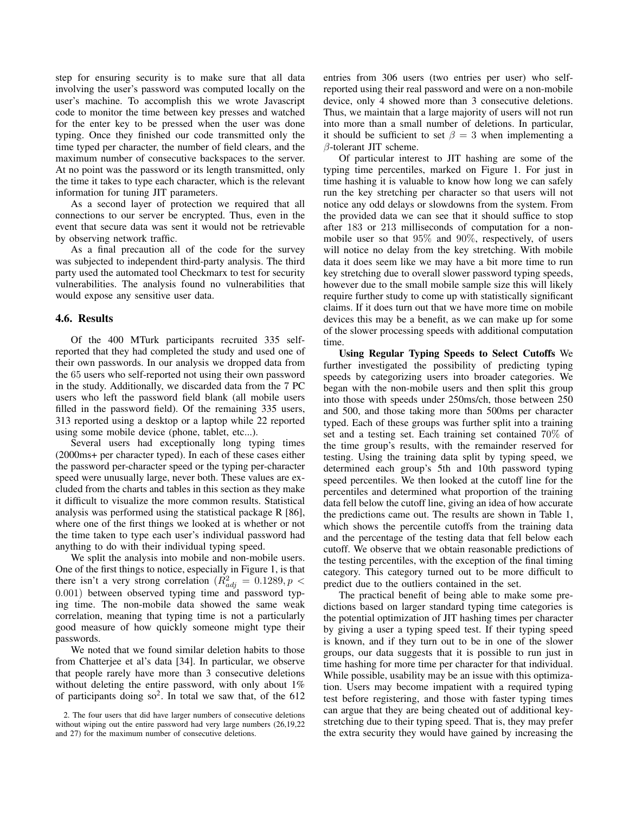step for ensuring security is to make sure that all data involving the user's password was computed locally on the user's machine. To accomplish this we wrote Javascript code to monitor the time between key presses and watched for the enter key to be pressed when the user was done typing. Once they finished our code transmitted only the time typed per character, the number of field clears, and the maximum number of consecutive backspaces to the server. At no point was the password or its length transmitted, only the time it takes to type each character, which is the relevant information for tuning JIT parameters.

As a second layer of protection we required that all connections to our server be encrypted. Thus, even in the event that secure data was sent it would not be retrievable by observing network traffic.

As a final precaution all of the code for the survey was subjected to independent third-party analysis. The third party used the automated tool Checkmarx to test for security vulnerabilities. The analysis found no vulnerabilities that would expose any sensitive user data.

#### 4.6. Results

Of the 400 MTurk participants recruited 335 selfreported that they had completed the study and used one of their own passwords. In our analysis we dropped data from the 65 users who self-reported not using their own password in the study. Additionally, we discarded data from the 7 PC users who left the password field blank (all mobile users filled in the password field). Of the remaining 335 users, 313 reported using a desktop or a laptop while 22 reported using some mobile device (phone, tablet, etc...).

Several users had exceptionally long typing times (2000ms+ per character typed). In each of these cases either the password per-character speed or the typing per-character speed were unusually large, never both. These values are excluded from the charts and tables in this section as they make it difficult to visualize the more common results. Statistical analysis was performed using the statistical package R [86], where one of the first things we looked at is whether or not the time taken to type each user's individual password had anything to do with their individual typing speed.

We split the analysis into mobile and non-mobile users. One of the first things to notice, especially in Figure 1, is that there isn't a very strong correlation ( $\overline{R}^2_{adj} = 0.1289, p <$ 0.001) between observed typing time and password typing time. The non-mobile data showed the same weak correlation, meaning that typing time is not a particularly good measure of how quickly someone might type their passwords.

We noted that we found similar deletion habits to those from Chatterjee et al's data [34]. In particular, we observe that people rarely have more than 3 consecutive deletions without deleting the entire password, with only about 1% of participants doing  $\text{so}^2$ . In total we saw that, of the 612 entries from 306 users (two entries per user) who selfreported using their real password and were on a non-mobile device, only 4 showed more than 3 consecutive deletions. Thus, we maintain that a large majority of users will not run into more than a small number of deletions. In particular, it should be sufficient to set  $\beta = 3$  when implementing a β-tolerant JIT scheme.

Of particular interest to JIT hashing are some of the typing time percentiles, marked on Figure 1. For just in time hashing it is valuable to know how long we can safely run the key stretching per character so that users will not notice any odd delays or slowdowns from the system. From the provided data we can see that it should suffice to stop after 183 or 213 milliseconds of computation for a nonmobile user so that 95% and 90%, respectively, of users will notice no delay from the key stretching. With mobile data it does seem like we may have a bit more time to run key stretching due to overall slower password typing speeds, however due to the small mobile sample size this will likely require further study to come up with statistically significant claims. If it does turn out that we have more time on mobile devices this may be a benefit, as we can make up for some of the slower processing speeds with additional computation time.

Using Regular Typing Speeds to Select Cutoffs We further investigated the possibility of predicting typing speeds by categorizing users into broader categories. We began with the non-mobile users and then split this group into those with speeds under 250ms/ch, those between 250 and 500, and those taking more than 500ms per character typed. Each of these groups was further split into a training set and a testing set. Each training set contained 70% of the time group's results, with the remainder reserved for testing. Using the training data split by typing speed, we determined each group's 5th and 10th password typing speed percentiles. We then looked at the cutoff line for the percentiles and determined what proportion of the training data fell below the cutoff line, giving an idea of how accurate the predictions came out. The results are shown in Table 1, which shows the percentile cutoffs from the training data and the percentage of the testing data that fell below each cutoff. We observe that we obtain reasonable predictions of the testing percentiles, with the exception of the final timing category. This category turned out to be more difficult to predict due to the outliers contained in the set.

The practical benefit of being able to make some predictions based on larger standard typing time categories is the potential optimization of JIT hashing times per character by giving a user a typing speed test. If their typing speed is known, and if they turn out to be in one of the slower groups, our data suggests that it is possible to run just in time hashing for more time per character for that individual. While possible, usability may be an issue with this optimization. Users may become impatient with a required typing test before registering, and those with faster typing times can argue that they are being cheated out of additional keystretching due to their typing speed. That is, they may prefer the extra security they would have gained by increasing the

<sup>2.</sup> The four users that did have larger numbers of consecutive deletions without wiping out the entire password had very large numbers  $(26,19,22)$ and 27) for the maximum number of consecutive deletions.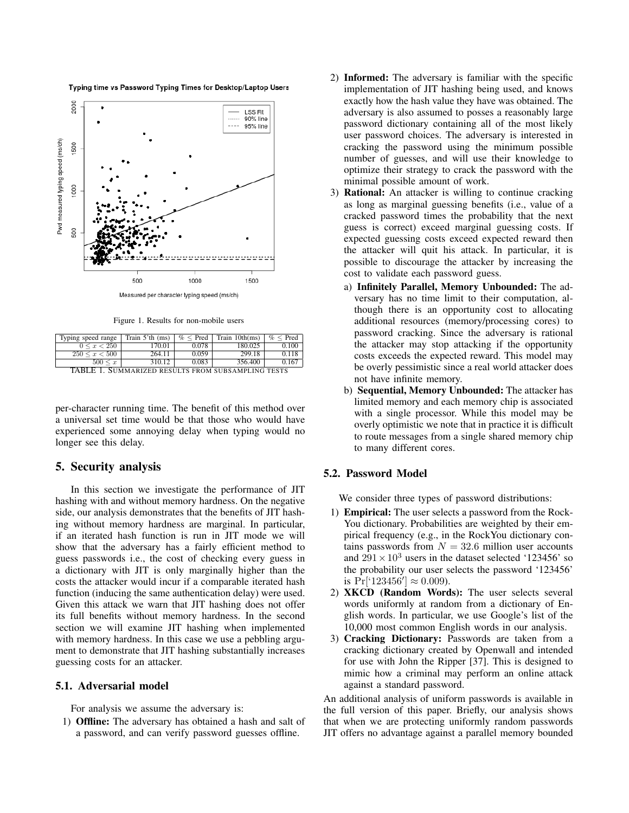Typing time vs Password Typing Times for Desktop/Laptop Users



Figure 1. Results for non-mobile users

| Typing speed range                                 | Train $5'th$ (ms) | $\%$ < Pred | Train 10th(ms) | $\%$ < Pred |  |  |
|----------------------------------------------------|-------------------|-------------|----------------|-------------|--|--|
| $0 \leq x < 250$                                   | 170.01            | 0.078       | 180.025        | 0.100       |  |  |
| $250 \leq x < 500$                                 | 264.11            | 0.059       | 299.18         | 0.118       |  |  |
| $500 \leq x$                                       | 310.12            | 0.083       | 356.400        | 0.167       |  |  |
| TABLE 1. SUMMARIZED RESULTS FROM SUBSAMPLING TESTS |                   |             |                |             |  |  |

per-character running time. The benefit of this method over a universal set time would be that those who would have experienced some annoying delay when typing would no longer see this delay.

## 5. Security analysis

In this section we investigate the performance of JIT hashing with and without memory hardness. On the negative side, our analysis demonstrates that the benefits of JIT hashing without memory hardness are marginal. In particular, if an iterated hash function is run in JIT mode we will show that the adversary has a fairly efficient method to guess passwords i.e., the cost of checking every guess in a dictionary with JIT is only marginally higher than the costs the attacker would incur if a comparable iterated hash function (inducing the same authentication delay) were used. Given this attack we warn that JIT hashing does not offer its full benefits without memory hardness. In the second section we will examine JIT hashing when implemented with memory hardness. In this case we use a pebbling argument to demonstrate that JIT hashing substantially increases guessing costs for an attacker.

#### 5.1. Adversarial model

For analysis we assume the adversary is:

1) Offline: The adversary has obtained a hash and salt of a password, and can verify password guesses offline.

- 2) Informed: The adversary is familiar with the specific implementation of JIT hashing being used, and knows exactly how the hash value they have was obtained. The adversary is also assumed to posses a reasonably large password dictionary containing all of the most likely user password choices. The adversary is interested in cracking the password using the minimum possible number of guesses, and will use their knowledge to optimize their strategy to crack the password with the minimal possible amount of work.
- 3) Rational: An attacker is willing to continue cracking as long as marginal guessing benefits (i.e., value of a cracked password times the probability that the next guess is correct) exceed marginal guessing costs. If expected guessing costs exceed expected reward then the attacker will quit his attack. In particular, it is possible to discourage the attacker by increasing the cost to validate each password guess.
	- a) Infinitely Parallel, Memory Unbounded: The adversary has no time limit to their computation, although there is an opportunity cost to allocating additional resources (memory/processing cores) to password cracking. Since the adversary is rational the attacker may stop attacking if the opportunity costs exceeds the expected reward. This model may be overly pessimistic since a real world attacker does not have infinite memory.
	- b) Sequential, Memory Unbounded: The attacker has limited memory and each memory chip is associated with a single processor. While this model may be overly optimistic we note that in practice it is difficult to route messages from a single shared memory chip to many different cores.

## 5.2. Password Model

We consider three types of password distributions:

- 1) Empirical: The user selects a password from the Rock-You dictionary. Probabilities are weighted by their empirical frequency (e.g., in the RockYou dictionary contains passwords from  $N = 32.6$  million user accounts and  $291 \times 10^3$  users in the dataset selected '123456' so the probability our user selects the password '123456' is  $Pr[$ <sup>'</sup>123456']  $\approx 0.009$ ).
- 2) XKCD (Random Words): The user selects several words uniformly at random from a dictionary of English words. In particular, we use Google's list of the 10,000 most common English words in our analysis.
- 3) Cracking Dictionary: Passwords are taken from a cracking dictionary created by Openwall and intended for use with John the Ripper [37]. This is designed to mimic how a criminal may perform an online attack against a standard password.

An additional analysis of uniform passwords is available in the full version of this paper. Briefly, our analysis shows that when we are protecting uniformly random passwords JIT offers no advantage against a parallel memory bounded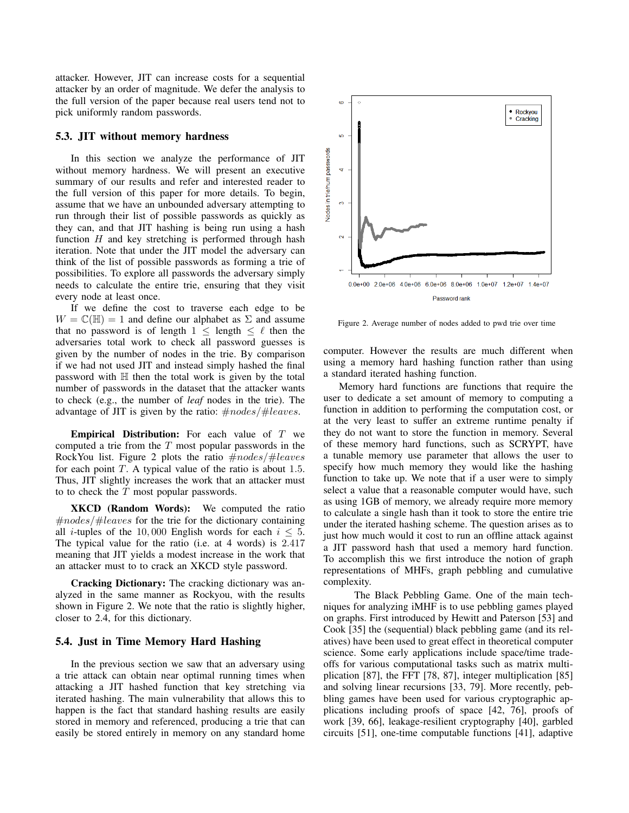attacker. However, JIT can increase costs for a sequential attacker by an order of magnitude. We defer the analysis to the full version of the paper because real users tend not to pick uniformly random passwords.

#### 5.3. JIT without memory hardness

In this section we analyze the performance of JIT without memory hardness. We will present an executive summary of our results and refer and interested reader to the full version of this paper for more details. To begin, assume that we have an unbounded adversary attempting to run through their list of possible passwords as quickly as they can, and that JIT hashing is being run using a hash function  $H$  and key stretching is performed through hash iteration. Note that under the JIT model the adversary can think of the list of possible passwords as forming a trie of possibilities. To explore all passwords the adversary simply needs to calculate the entire trie, ensuring that they visit every node at least once.

If we define the cost to traverse each edge to be  $W = \mathbb{C}(\mathbb{H}) = 1$  and define our alphabet as  $\Sigma$  and assume that no password is of length  $1 \leq$  length  $\leq \ell$  then the adversaries total work to check all password guesses is given by the number of nodes in the trie. By comparison if we had not used JIT and instead simply hashed the final password with  $\mathbb H$  then the total work is given by the total number of passwords in the dataset that the attacker wants to check (e.g., the number of *leaf* nodes in the trie). The advantage of JIT is given by the ratio:  $\#nodes / \# leaves$ .

**Empirical Distribution:** For each value of  $T$  we computed a trie from the  $T$  most popular passwords in the RockYou list. Figure 2 plots the ratio  $\#nodes/ \# leaves$ for each point  $T$ . A typical value of the ratio is about 1.5. Thus, JIT slightly increases the work that an attacker must to to check the  $T$  most popular passwords.

XKCD (Random Words): We computed the ratio  $\#nodes/\#leaves$  for the trie for the dictionary containing all *i*-tuples of the 10,000 English words for each  $i \leq 5$ . The typical value for the ratio (i.e. at 4 words) is 2.417 meaning that JIT yields a modest increase in the work that an attacker must to to crack an XKCD style password.

Cracking Dictionary: The cracking dictionary was analyzed in the same manner as Rockyou, with the results shown in Figure 2. We note that the ratio is slightly higher, closer to 2.4, for this dictionary.

### 5.4. Just in Time Memory Hard Hashing

In the previous section we saw that an adversary using a trie attack can obtain near optimal running times when attacking a JIT hashed function that key stretching via iterated hashing. The main vulnerability that allows this to happen is the fact that standard hashing results are easily stored in memory and referenced, producing a trie that can easily be stored entirely in memory on any standard home



Figure 2. Average number of nodes added to pwd trie over time

computer. However the results are much different when using a memory hard hashing function rather than using a standard iterated hashing function.

Memory hard functions are functions that require the user to dedicate a set amount of memory to computing a function in addition to performing the computation cost, or at the very least to suffer an extreme runtime penalty if they do not want to store the function in memory. Several of these memory hard functions, such as SCRYPT, have a tunable memory use parameter that allows the user to specify how much memory they would like the hashing function to take up. We note that if a user were to simply select a value that a reasonable computer would have, such as using 1GB of memory, we already require more memory to calculate a single hash than it took to store the entire trie under the iterated hashing scheme. The question arises as to just how much would it cost to run an offline attack against a JIT password hash that used a memory hard function. To accomplish this we first introduce the notion of graph representations of MHFs, graph pebbling and cumulative complexity.

The Black Pebbling Game. One of the main techniques for analyzing iMHF is to use pebbling games played on graphs. First introduced by Hewitt and Paterson [53] and Cook [35] the (sequential) black pebbling game (and its relatives) have been used to great effect in theoretical computer science. Some early applications include space/time tradeoffs for various computational tasks such as matrix multiplication [87], the FFT [78, 87], integer multiplication [85] and solving linear recursions [33, 79]. More recently, pebbling games have been used for various cryptographic applications including proofs of space [42, 76], proofs of work [39, 66], leakage-resilient cryptography [40], garbled circuits [51], one-time computable functions [41], adaptive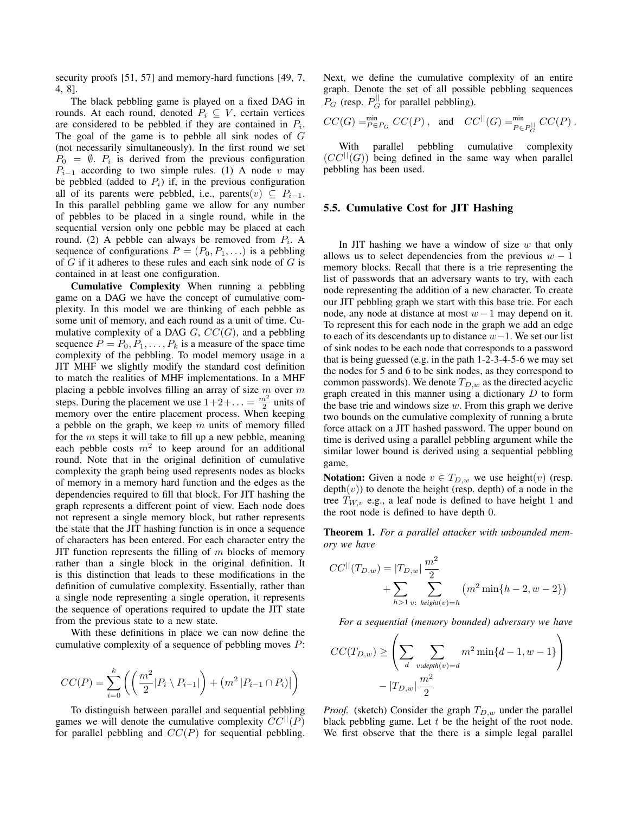security proofs [51, 57] and memory-hard functions [49, 7, 4, 8].

The black pebbling game is played on a fixed DAG in rounds. At each round, denoted  $P_i \subseteq V$ , certain vertices are considered to be pebbled if they are contained in  $P_i$ . The goal of the game is to pebble all sink nodes of  $G$ (not necessarily simultaneously). In the first round we set  $P_0 = \emptyset$ .  $P_i$  is derived from the previous configuration  $P_{i-1}$  according to two simple rules. (1) A node v may be pebbled (added to  $P_i$ ) if, in the previous configuration all of its parents were pebbled, i.e., parents $(v) \subseteq P_{i-1}$ . In this parallel pebbling game we allow for any number of pebbles to be placed in a single round, while in the sequential version only one pebble may be placed at each round. (2) A pebble can always be removed from  $P_i$ . A sequence of configurations  $P = (P_0, P_1, \ldots)$  is a pebbling of  $G$  if it adheres to these rules and each sink node of  $G$  is contained in at least one configuration.

Cumulative Complexity When running a pebbling game on a DAG we have the concept of cumulative complexity. In this model we are thinking of each pebble as some unit of memory, and each round as a unit of time. Cumulative complexity of a DAG  $G$ ,  $CC(G)$ , and a pebbling sequence  $P = P_0, P_1, \ldots, P_k$  is a measure of the space time complexity of the pebbling. To model memory usage in a JIT MHF we slightly modify the standard cost definition to match the realities of MHF implementations. In a MHF placing a pebble involves filling an array of size  $m$  over  $m$ steps. During the placement we use  $1+2+\ldots = \frac{m^2}{2}$  units of memory over the entire placement process. When keeping a pebble on the graph, we keep  $m$  units of memory filled for the  $m$  steps it will take to fill up a new pebble, meaning each pebble costs  $m^2$  to keep around for an additional round. Note that in the original definition of cumulative complexity the graph being used represents nodes as blocks of memory in a memory hard function and the edges as the dependencies required to fill that block. For JIT hashing the graph represents a different point of view. Each node does not represent a single memory block, but rather represents the state that the JIT hashing function is in once a sequence of characters has been entered. For each character entry the JIT function represents the filling of  $m$  blocks of memory rather than a single block in the original definition. It is this distinction that leads to these modifications in the definition of cumulative complexity. Essentially, rather than a single node representing a single operation, it represents the sequence of operations required to update the JIT state from the previous state to a new state.

With these definitions in place we can now define the cumulative complexity of a sequence of pebbling moves P:

$$
CC(P) = \sum_{i=0}^{k} \left( \left( \frac{m^2}{2} |P_i \setminus P_{i-1}| \right) + \left( m^2 |P_{i-1} \cap P_i | \right) \right)
$$

To distinguish between parallel and sequential pebbling games we will denote the cumulative complexity  $CC^{\parallel}(P)$ for parallel pebbling and  $CC(P)$  for sequential pebbling. Next, we define the cumulative complexity of an entire graph. Denote the set of all possible pebbling sequences  $P_G$  (resp.  $P_G^{\parallel}$  for parallel pebbling).

$$
CC(G) =_{P \in P_G}^{\text{min}} CC(P), \text{ and } CC^{||}(G) =_{P \in P_G^{\text{lin}}}^{\text{min}} CC(P).
$$

With parallel pebbling cumulative complexity  $(CC^{||}(G))$  being defined in the same way when parallel pebbling has been used.

#### 5.5. Cumulative Cost for JIT Hashing

In JIT hashing we have a window of size  $w$  that only allows us to select dependencies from the previous  $w - 1$ memory blocks. Recall that there is a trie representing the list of passwords that an adversary wants to try, with each node representing the addition of a new character. To create our JIT pebbling graph we start with this base trie. For each node, any node at distance at most  $w - 1$  may depend on it. To represent this for each node in the graph we add an edge to each of its descendants up to distance  $w-1$ . We set our list of sink nodes to be each node that corresponds to a password that is being guessed (e.g. in the path 1-2-3-4-5-6 we may set the nodes for 5 and 6 to be sink nodes, as they correspond to common passwords). We denote  $T_{D,w}$  as the directed acyclic graph created in this manner using a dictionary  $D$  to form the base trie and windows size  $w$ . From this graph we derive two bounds on the cumulative complexity of running a brute force attack on a JIT hashed password. The upper bound on time is derived using a parallel pebbling argument while the similar lower bound is derived using a sequential pebbling game.

**Notation:** Given a node  $v \in T_{D,w}$  we use height(v) (resp.  $depth(v))$  to denote the height (resp. depth) of a node in the tree  $T_{W,v}$  e.g., a leaf node is defined to have height 1 and the root node is defined to have depth 0.

Theorem 1. *For a parallel attacker with unbounded memory we have*

$$
CC^{||}(T_{D,w}) = |T_{D,w}| \frac{m^2}{2} + \sum_{h>1} \sum_{v:\text{ height}(v)=h} (m^2 \min\{h-2, w-2\})
$$

*For a sequential (memory bounded) adversary we have*

$$
CC(T_{D,w}) \geq \left(\sum_{d} \sum_{v:depth(v)=d} m^2 \min\{d-1, w-1\}\right)
$$

$$
-|T_{D,w}| \frac{m^2}{2}
$$

*Proof.* (sketch) Consider the graph  $T_{D,w}$  under the parallel black pebbling game. Let  $t$  be the height of the root node. We first observe that the there is a simple legal parallel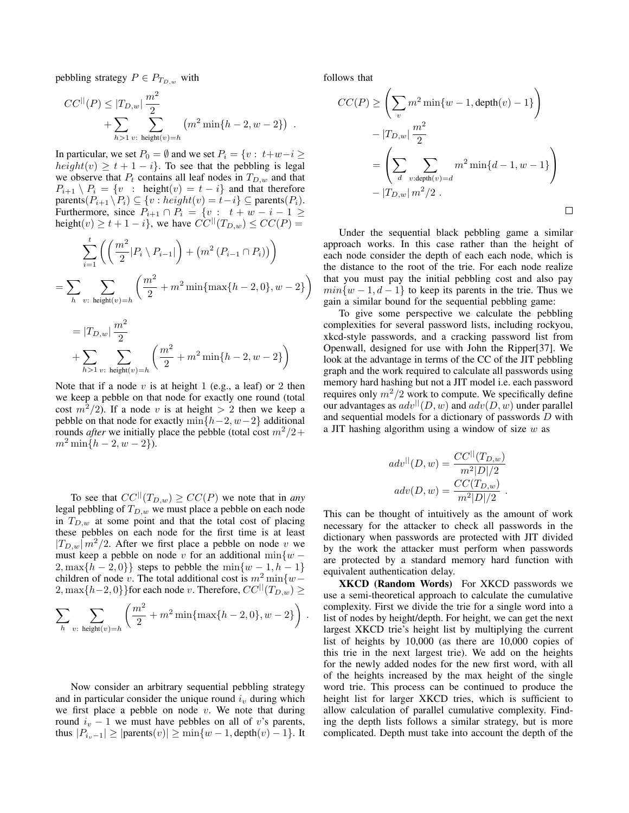pebbling strategy  $P \in P_{T_{D,w}}$  with

 $\Omega$ 

$$
CC^{||}(P) \leq |T_{D,w}| \frac{m^2}{2} + \sum_{h>1} \sum_{v:\text{ height}(v)=h} (m^2 \min\{h-2, w-2\}) .
$$

In particular, we set  $P_0 = \emptyset$  and we set  $P_i = \{v : t+w-i \geq 0\}$  $height(v) \geq t + 1 - i$ . To see that the pebbling is legal we observe that  $P_t$  contains all leaf nodes in  $T_{D,w}$  and that  $P_{i+1} \setminus P_i = \{v : \text{height}(v) = t - i\}$  and that therefore parents( $P_{i+1} \backslash P_i$ )  $\subseteq \{v : height(v) = t-i\}$   $\subseteq$  parents( $P_i$ ). Furthermore, since  $P_{i+1} \cap P_i = \{v : t + w - i - 1 \geq 1\}$ height(v)  $\geq t+1-i$ , we have  $CC^{||}(T_{D,w}) \leq CC(P)$  =

$$
\sum_{i=1}^{t} \left( \left( \frac{m^2}{2} |P_i \setminus P_{i-1}| \right) + \left( m^2 \left( P_{i-1} \cap P_i \right) \right) \right)
$$
  
= 
$$
\sum_{h} \sum_{v: \text{ height}(v) = h} \left( \frac{m^2}{2} + m^2 \min \{ \max \{ h - 2, 0 \}, w - 2 \} \right)
$$

$$
= |T_{D,w}| \frac{m^2}{2}
$$
  
+ 
$$
\sum_{h>1} \sum_{v:\text{ height}(v)=h} \left( \frac{m^2}{2} + m^2 \min\{h-2, w-2\} \right)
$$

Note that if a node v is at height 1 (e.g., a leaf) or 2 then we keep a pebble on that node for exactly one round (total cost  $m^2/2$ ). If a node v is at height  $> 2$  then we keep a pebble on that node for exactly min $\{h-2, w-2\}$  additional rounds *after* we initially place the pebble (total cost  $m^2/2$ +  $m^2 \min\{h-2, w-2\}.$ 

To see that  $CC^{||}(T_{D,w}) \geq CC(P)$  we note that in *any* legal pebbling of  $T_{D,w}$  we must place a pebble on each node in  $T_{D,w}$  at some point and that the total cost of placing these pebbles on each node for the first time is at least  $|T_{D,w}| m^2/2$ . After we first place a pebble on node v we must keep a pebble on node v for an additional min $\{w 2, \max\{h-2, 0\}\}\$  steps to pebble the  $\min\{w-1, h-1\}$ children of node v. The total additional cost is  $m^2 \min \{w -$ 2, max $\{h-2, 0\}$ }for each node v. Therefore,  $CC^{||}(T_{D,w})$  ≥

$$
\sum_{h} \sum_{v:\text{ height}(v)=h} \left( \frac{m^2}{2} + m^2 \min\{\max\{h-2, 0\}, w-2\} \right).
$$

Now consider an arbitrary sequential pebbling strategy and in particular consider the unique round  $i<sub>v</sub>$  during which we first place a pebble on node  $v$ . We note that during round  $i_v - 1$  we must have pebbles on all of v's parents, thus  $|P_{i_v-1}| \geq |\text{parents}(v)| \geq \min\{w-1,\text{depth}(v)-1\}.$  It follows that

$$
CC(P) \geq \left(\sum_{v} m^2 \min\{w - 1, \text{depth}(v) - 1\}\right)
$$

$$
- |T_{D,w}| \frac{m^2}{2}
$$

$$
= \left(\sum_{d} \sum_{v:\text{depth}(v) = d} m^2 \min\{d - 1, w - 1\}\right)
$$

$$
- |T_{D,w}| m^2 / 2 .
$$

Under the sequential black pebbling game a similar approach works. In this case rather than the height of each node consider the depth of each each node, which is the distance to the root of the trie. For each node realize that you must pay the initial pebbling cost and also pay  $min\{w-1, d-1\}$  to keep its parents in the trie. Thus we gain a similar bound for the sequential pebbling game:

To give some perspective we calculate the pebbling complexities for several password lists, including rockyou, xkcd-style passwords, and a cracking password list from Openwall, designed for use with John the Ripper[37]. We look at the advantage in terms of the CC of the JIT pebbling graph and the work required to calculate all passwords using memory hard hashing but not a JIT model i.e. each password requires only  $m^2/2$  work to compute. We specifically define our advantages as  $adv^{||}(D, w)$  and  $adv(D, w)$  under parallel and sequential models for a dictionary of passwords D with a JIT hashing algorithm using a window of size  $w$  as

$$
adv^{||}(D, w) = \frac{CC^{||}(T_{D,w})}{m^{2}|D|/2}
$$

$$
adv(D, w) = \frac{CC(T_{D,w})}{m^{2}|D|/2}.
$$

This can be thought of intuitively as the amount of work necessary for the attacker to check all passwords in the dictionary when passwords are protected with JIT divided by the work the attacker must perform when passwords are protected by a standard memory hard function with equivalent authentication delay.

XKCD (Random Words) For XKCD passwords we use a semi-theoretical approach to calculate the cumulative complexity. First we divide the trie for a single word into a list of nodes by height/depth. For height, we can get the next largest XKCD trie's height list by multiplying the current list of heights by 10,000 (as there are 10,000 copies of this trie in the next largest trie). We add on the heights for the newly added nodes for the new first word, with all of the heights increased by the max height of the single word trie. This process can be continued to produce the height list for larger XKCD tries, which is sufficient to allow calculation of parallel cumulative complexity. Finding the depth lists follows a similar strategy, but is more complicated. Depth must take into account the depth of the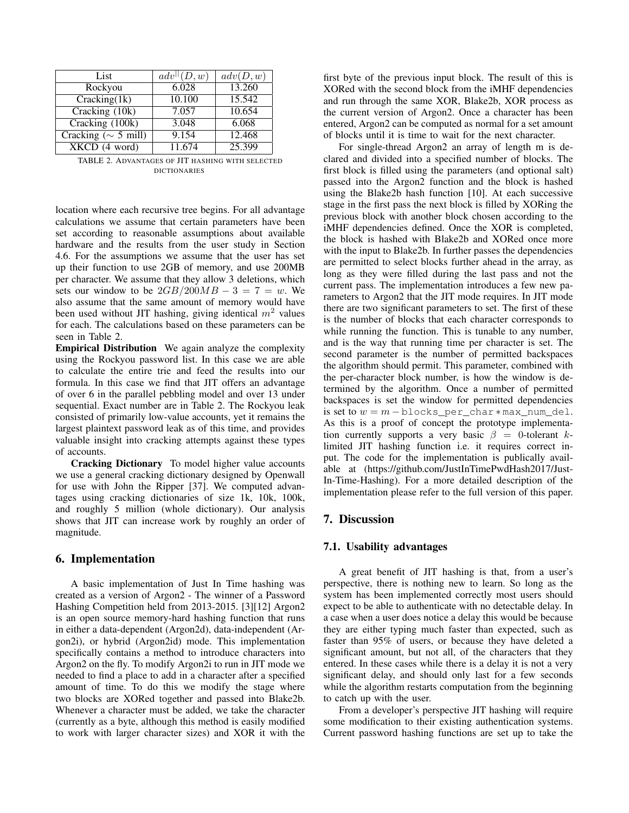| List                      | $adv$ <sup>  </sup> $(D, w)$ | adv(D, w) |
|---------------------------|------------------------------|-----------|
| Rockyou                   | 6.028                        | 13.260    |
| Cracking(1k)              | 10.100                       | 15.542    |
| Cracking (10k)            | 7.057                        | 10.654    |
| Cracking (100k)           | 3.048                        | 6.068     |
| Cracking ( $\sim$ 5 mill) | 9.154                        | 12.468    |
| $XKCD$ (4 word)           | 11.674                       | 25.399    |

TABLE 2. ADVANTAGES OF JIT HASHING WITH SELECTED DICTIONARIES

location where each recursive tree begins. For all advantage calculations we assume that certain parameters have been set according to reasonable assumptions about available hardware and the results from the user study in Section 4.6. For the assumptions we assume that the user has set up their function to use 2GB of memory, and use 200MB per character. We assume that they allow 3 deletions, which sets our window to be  $2GB/200MB - 3 = 7 = w$ . We also assume that the same amount of memory would have been used without JIT hashing, giving identical  $m<sup>2</sup>$  values for each. The calculations based on these parameters can be seen in Table 2.

Empirical Distribution We again analyze the complexity using the Rockyou password list. In this case we are able to calculate the entire trie and feed the results into our formula. In this case we find that JIT offers an advantage of over 6 in the parallel pebbling model and over 13 under sequential. Exact number are in Table 2. The Rockyou leak consisted of primarily low-value accounts, yet it remains the largest plaintext password leak as of this time, and provides valuable insight into cracking attempts against these types of accounts.

Cracking Dictionary To model higher value accounts we use a general cracking dictionary designed by Openwall for use with John the Ripper [37]. We computed advantages using cracking dictionaries of size 1k, 10k, 100k, and roughly 5 million (whole dictionary). Our analysis shows that JIT can increase work by roughly an order of magnitude.

## 6. Implementation

A basic implementation of Just In Time hashing was created as a version of Argon2 - The winner of a Password Hashing Competition held from 2013-2015. [3][12] Argon2 is an open source memory-hard hashing function that runs in either a data-dependent (Argon2d), data-independent (Argon2i), or hybrid (Argon2id) mode. This implementation specifically contains a method to introduce characters into Argon2 on the fly. To modify Argon2i to run in JIT mode we needed to find a place to add in a character after a specified amount of time. To do this we modify the stage where two blocks are XORed together and passed into Blake2b. Whenever a character must be added, we take the character (currently as a byte, although this method is easily modified to work with larger character sizes) and XOR it with the first byte of the previous input block. The result of this is XORed with the second block from the iMHF dependencies and run through the same XOR, Blake2b, XOR process as the current version of Argon2. Once a character has been entered, Argon2 can be computed as normal for a set amount of blocks until it is time to wait for the next character.

For single-thread Argon2 an array of length m is declared and divided into a specified number of blocks. The first block is filled using the parameters (and optional salt) passed into the Argon2 function and the block is hashed using the Blake2b hash function [10]. At each successive stage in the first pass the next block is filled by XORing the previous block with another block chosen according to the iMHF dependencies defined. Once the XOR is completed, the block is hashed with Blake2b and XORed once more with the input to Blake2b. In further passes the dependencies are permitted to select blocks further ahead in the array, as long as they were filled during the last pass and not the current pass. The implementation introduces a few new parameters to Argon2 that the JIT mode requires. In JIT mode there are two significant parameters to set. The first of these is the number of blocks that each character corresponds to while running the function. This is tunable to any number, and is the way that running time per character is set. The second parameter is the number of permitted backspaces the algorithm should permit. This parameter, combined with the per-character block number, is how the window is determined by the algorithm. Once a number of permitted backspaces is set the window for permitted dependencies is set to  $w = m - b$ locks per char  $*$  max num del. As this is a proof of concept the prototype implementation currently supports a very basic  $\beta = 0$ -tolerant klimited JIT hashing function i.e. it requires correct input. The code for the implementation is publically available at (https://github.com/JustInTimePwdHash2017/Just-In-Time-Hashing). For a more detailed description of the implementation please refer to the full version of this paper.

## 7. Discussion

## 7.1. Usability advantages

A great benefit of JIT hashing is that, from a user's perspective, there is nothing new to learn. So long as the system has been implemented correctly most users should expect to be able to authenticate with no detectable delay. In a case when a user does notice a delay this would be because they are either typing much faster than expected, such as faster than 95% of users, or because they have deleted a significant amount, but not all, of the characters that they entered. In these cases while there is a delay it is not a very significant delay, and should only last for a few seconds while the algorithm restarts computation from the beginning to catch up with the user.

From a developer's perspective JIT hashing will require some modification to their existing authentication systems. Current password hashing functions are set up to take the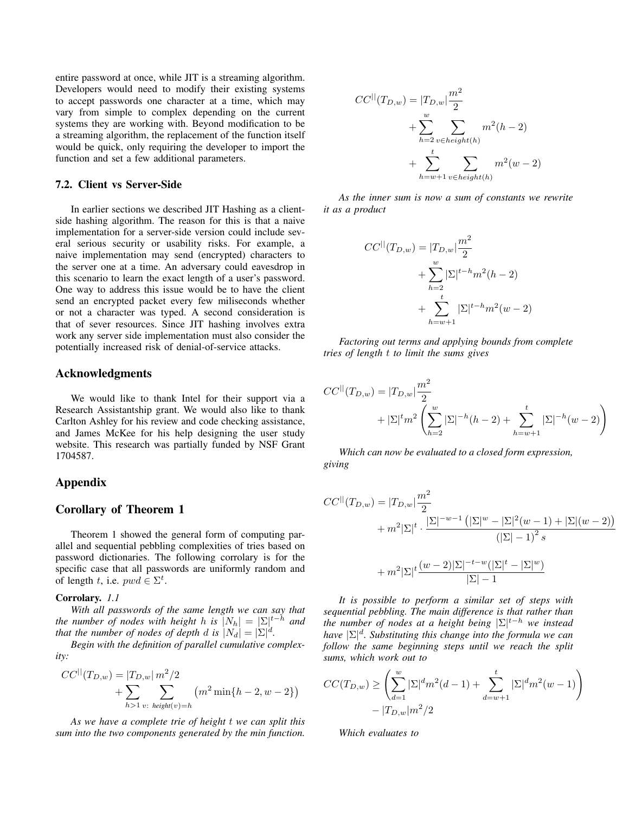entire password at once, while JIT is a streaming algorithm. Developers would need to modify their existing systems to accept passwords one character at a time, which may vary from simple to complex depending on the current systems they are working with. Beyond modification to be a streaming algorithm, the replacement of the function itself would be quick, only requiring the developer to import the function and set a few additional parameters.

### 7.2. Client vs Server-Side

In earlier sections we described JIT Hashing as a clientside hashing algorithm. The reason for this is that a naive implementation for a server-side version could include several serious security or usability risks. For example, a naive implementation may send (encrypted) characters to the server one at a time. An adversary could eavesdrop in this scenario to learn the exact length of a user's password. One way to address this issue would be to have the client send an encrypted packet every few miliseconds whether or not a character was typed. A second consideration is that of sever resources. Since JIT hashing involves extra work any server side implementation must also consider the potentially increased risk of denial-of-service attacks.

#### Acknowledgments

We would like to thank Intel for their support via a Research Assistantship grant. We would also like to thank Carlton Ashley for his review and code checking assistance, and James McKee for his help designing the user study website. This research was partially funded by NSF Grant 1704587.

#### Appendix

### Corollary of Theorem 1

Theorem 1 showed the general form of computing parallel and sequential pebbling complexities of tries based on password dictionaries. The following corrolary is for the specific case that all passwords are uniformly random and of length t, i.e.  $pwd \in \Sigma^t$ .

#### Corrolary. *1.1*

*With all passwords of the same length we can say that the number of nodes with height h is*  $|N_h| = |\Sigma|^{t-h}$  *and that the number of nodes of depth d is*  $|N_d| = |\Sigma|^d$ .

*Begin with the definition of parallel cumulative complexity:*

$$
CC^{||}(T_{D,w}) = |T_{D,w}| m^2/2
$$
  
+  $\sum_{h>1} \sum_{v:\text{ height}(v)=h} (m^2 \min\{h-2, w-2\})$ 

*As we have a complete trie of height* t *we can split this sum into the two components generated by the min function.*

$$
CC^{||}(T_{D,w}) = |T_{D,w}| \frac{m^2}{2}
$$
  
+ 
$$
\sum_{h=2}^{w} \sum_{v \in height(h)} m^2(h-2)
$$
  
+ 
$$
\sum_{h=w+1}^{t} \sum_{v \in height(h)} m^2(w-2)
$$

*As the inner sum is now a sum of constants we rewrite it as a product*

$$
CC^{||}(T_{D,w}) = |T_{D,w}| \frac{m^2}{2}
$$
  
+ 
$$
\sum_{h=2}^{w} |\Sigma|^{t-h} m^2 (h-2)
$$
  
+ 
$$
\sum_{h=w+1}^{t} |\Sigma|^{t-h} m^2 (w-2)
$$

*Factoring out terms and applying bounds from complete tries of length* t *to limit the sums gives*

$$
CC^{||}(T_{D,w}) = |T_{D,w}| \frac{m^2}{2}
$$
  
+  $|\Sigma|^t m^2 \left( \sum_{h=2}^w |\Sigma|^{-h} (h-2) + \sum_{h=w+1}^t |\Sigma|^{-h} (w-2) \right)$ 

*Which can now be evaluated to a closed form expression, giving*

$$
CC^{||}(T_{D,w}) = |T_{D,w}| \frac{m^2}{2}
$$
  
+  $m^2 |\Sigma|^t \cdot \frac{|\Sigma|^{-w-1} (|\Sigma|^w - |\Sigma|^2 (w-1) + |\Sigma|(w-2))}{(|\Sigma| - 1)^2 s}$   
+  $m^2 |\Sigma|^t \frac{(w-2)|\Sigma|^{-t-w} (|\Sigma|^t - |\Sigma|^w)}{|\Sigma| - 1}$ 

*It is possible to perform a similar set of steps with sequential pebbling. The main difference is that rather than the number of nodes at a height being*  $\Sigma |$ <sup>*t*−*h we instead*</sup> *have* |Σ| d *. Substituting this change into the formula we can follow the same beginning steps until we reach the split sums, which work out to*

$$
CC(T_{D,w}) \geq \left(\sum_{d=1}^{w} |\Sigma|^d m^2 (d-1) + \sum_{d=w+1}^{t} |\Sigma|^d m^2 (w-1)\right) - |T_{D,w}| m^2 / 2
$$

*Which evaluates to*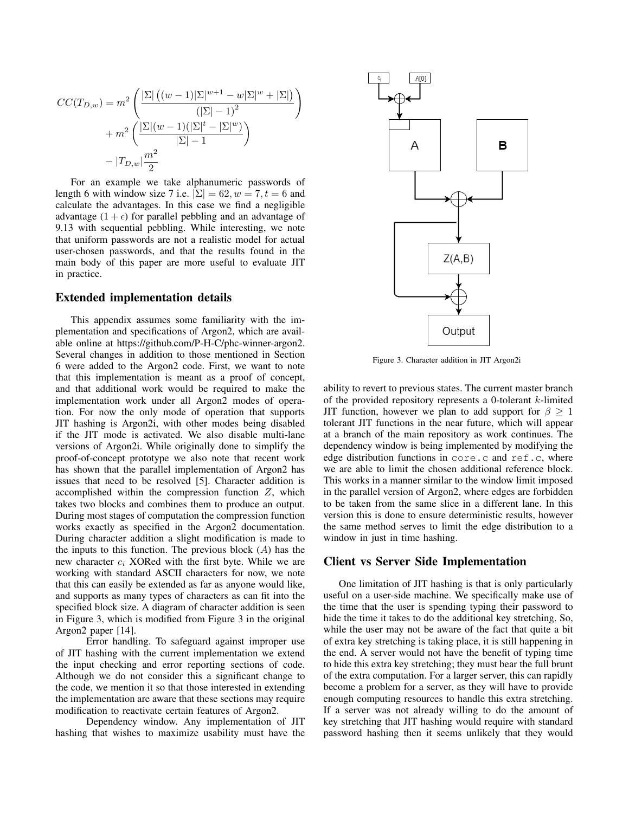$$
CC(T_{D,w}) = m^{2} \left( \frac{|\Sigma| ((w-1)|\Sigma|^{w+1} - w|\Sigma|^{w} + |\Sigma|)}{(|\Sigma| - 1)^{2}} + m^{2} \left( \frac{|\Sigma|(w-1)(|\Sigma|^{t} - |\Sigma|^{w})}{|\Sigma| - 1} \right) - |T_{D,w}| \frac{m^{2}}{2} \right)
$$

For an example we take alphanumeric passwords of length 6 with window size 7 i.e.  $|\Sigma| = 62, w = 7, t = 6$  and calculate the advantages. In this case we find a negligible advantage  $(1 + \epsilon)$  for parallel pebbling and an advantage of 9.13 with sequential pebbling. While interesting, we note that uniform passwords are not a realistic model for actual user-chosen passwords, and that the results found in the main body of this paper are more useful to evaluate JIT in practice.

### Extended implementation details

This appendix assumes some familiarity with the implementation and specifications of Argon2, which are available online at https://github.com/P-H-C/phc-winner-argon2. Several changes in addition to those mentioned in Section 6 were added to the Argon2 code. First, we want to note that this implementation is meant as a proof of concept, and that additional work would be required to make the implementation work under all Argon2 modes of operation. For now the only mode of operation that supports JIT hashing is Argon2i, with other modes being disabled if the JIT mode is activated. We also disable multi-lane versions of Argon2i. While originally done to simplify the proof-of-concept prototype we also note that recent work has shown that the parallel implementation of Argon2 has issues that need to be resolved [5]. Character addition is accomplished within the compression function Z, which takes two blocks and combines them to produce an output. During most stages of computation the compression function works exactly as specified in the Argon2 documentation. During character addition a slight modification is made to the inputs to this function. The previous block  $(A)$  has the new character  $c_i$  XORed with the first byte. While we are working with standard ASCII characters for now, we note that this can easily be extended as far as anyone would like, and supports as many types of characters as can fit into the specified block size. A diagram of character addition is seen in Figure 3, which is modified from Figure 3 in the original Argon2 paper [14].

Error handling. To safeguard against improper use of JIT hashing with the current implementation we extend the input checking and error reporting sections of code. Although we do not consider this a significant change to the code, we mention it so that those interested in extending the implementation are aware that these sections may require modification to reactivate certain features of Argon2.

Dependency window. Any implementation of JIT hashing that wishes to maximize usability must have the



Figure 3. Character addition in JIT Argon2i

ability to revert to previous states. The current master branch of the provided repository represents a 0-tolerant  $k$ -limited JIT function, however we plan to add support for  $\beta \geq 1$ tolerant JIT functions in the near future, which will appear at a branch of the main repository as work continues. The dependency window is being implemented by modifying the edge distribution functions in core.c and ref.c, where we are able to limit the chosen additional reference block. This works in a manner similar to the window limit imposed in the parallel version of Argon2, where edges are forbidden to be taken from the same slice in a different lane. In this version this is done to ensure deterministic results, however the same method serves to limit the edge distribution to a window in just in time hashing.

## Client vs Server Side Implementation

One limitation of JIT hashing is that is only particularly useful on a user-side machine. We specifically make use of the time that the user is spending typing their password to hide the time it takes to do the additional key stretching. So, while the user may not be aware of the fact that quite a bit of extra key stretching is taking place, it is still happening in the end. A server would not have the benefit of typing time to hide this extra key stretching; they must bear the full brunt of the extra computation. For a larger server, this can rapidly become a problem for a server, as they will have to provide enough computing resources to handle this extra stretching. If a server was not already willing to do the amount of key stretching that JIT hashing would require with standard password hashing then it seems unlikely that they would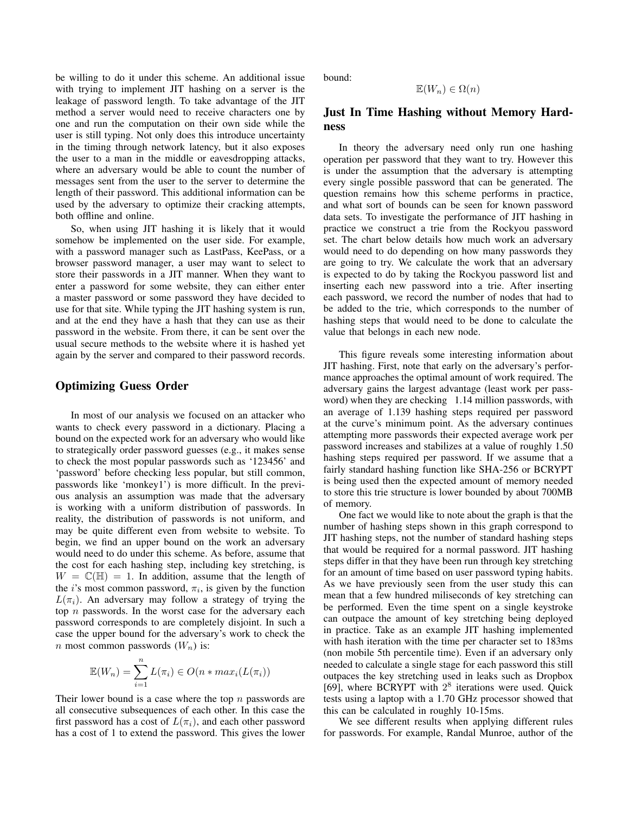be willing to do it under this scheme. An additional issue with trying to implement JIT hashing on a server is the leakage of password length. To take advantage of the JIT method a server would need to receive characters one by one and run the computation on their own side while the user is still typing. Not only does this introduce uncertainty in the timing through network latency, but it also exposes the user to a man in the middle or eavesdropping attacks, where an adversary would be able to count the number of messages sent from the user to the server to determine the length of their password. This additional information can be used by the adversary to optimize their cracking attempts, both offline and online.

So, when using JIT hashing it is likely that it would somehow be implemented on the user side. For example, with a password manager such as LastPass, KeePass, or a browser password manager, a user may want to select to store their passwords in a JIT manner. When they want to enter a password for some website, they can either enter a master password or some password they have decided to use for that site. While typing the JIT hashing system is run, and at the end they have a hash that they can use as their password in the website. From there, it can be sent over the usual secure methods to the website where it is hashed yet again by the server and compared to their password records.

## Optimizing Guess Order

In most of our analysis we focused on an attacker who wants to check every password in a dictionary. Placing a bound on the expected work for an adversary who would like to strategically order password guesses (e.g., it makes sense to check the most popular passwords such as '123456' and 'password' before checking less popular, but still common, passwords like 'monkey1') is more difficult. In the previous analysis an assumption was made that the adversary is working with a uniform distribution of passwords. In reality, the distribution of passwords is not uniform, and may be quite different even from website to website. To begin, we find an upper bound on the work an adversary would need to do under this scheme. As before, assume that the cost for each hashing step, including key stretching, is  $W = \mathbb{C}(\mathbb{H}) = 1$ . In addition, assume that the length of the *i*'s most common password,  $\pi_i$ , is given by the function  $L(\pi_i)$ . An adversary may follow a strategy of trying the top  $n$  passwords. In the worst case for the adversary each password corresponds to are completely disjoint. In such a case the upper bound for the adversary's work to check the n most common passwords  $(W_n)$  is:

$$
\mathbb{E}(W_n) = \sum_{i=1}^n L(\pi_i) \in O(n * max_i(L(\pi_i))
$$

Their lower bound is a case where the top  $n$  passwords are all consecutive subsequences of each other. In this case the first password has a cost of  $L(\pi_i)$ , and each other password has a cost of 1 to extend the password. This gives the lower bound:

$$
\mathbb{E}(W_n) \in \Omega(n)
$$

# Just In Time Hashing without Memory Hardness

In theory the adversary need only run one hashing operation per password that they want to try. However this is under the assumption that the adversary is attempting every single possible password that can be generated. The question remains how this scheme performs in practice, and what sort of bounds can be seen for known password data sets. To investigate the performance of JIT hashing in practice we construct a trie from the Rockyou password set. The chart below details how much work an adversary would need to do depending on how many passwords they are going to try. We calculate the work that an adversary is expected to do by taking the Rockyou password list and inserting each new password into a trie. After inserting each password, we record the number of nodes that had to be added to the trie, which corresponds to the number of hashing steps that would need to be done to calculate the value that belongs in each new node.

This figure reveals some interesting information about JIT hashing. First, note that early on the adversary's performance approaches the optimal amount of work required. The adversary gains the largest advantage (least work per password) when they are checking 1.14 million passwords, with an average of 1.139 hashing steps required per password at the curve's minimum point. As the adversary continues attempting more passwords their expected average work per password increases and stabilizes at a value of roughly 1.50 hashing steps required per password. If we assume that a fairly standard hashing function like SHA-256 or BCRYPT is being used then the expected amount of memory needed to store this trie structure is lower bounded by about 700MB of memory.

One fact we would like to note about the graph is that the number of hashing steps shown in this graph correspond to JIT hashing steps, not the number of standard hashing steps that would be required for a normal password. JIT hashing steps differ in that they have been run through key stretching for an amount of time based on user password typing habits. As we have previously seen from the user study this can mean that a few hundred miliseconds of key stretching can be performed. Even the time spent on a single keystroke can outpace the amount of key stretching being deployed in practice. Take as an example JIT hashing implemented with hash iteration with the time per character set to 183ms (non mobile 5th percentile time). Even if an adversary only needed to calculate a single stage for each password this still outpaces the key stretching used in leaks such as Dropbox [69], where BCRYPT with  $2^8$  iterations were used. Quick tests using a laptop with a 1.70 GHz processor showed that this can be calculated in roughly 10-15ms.

We see different results when applying different rules for passwords. For example, Randal Munroe, author of the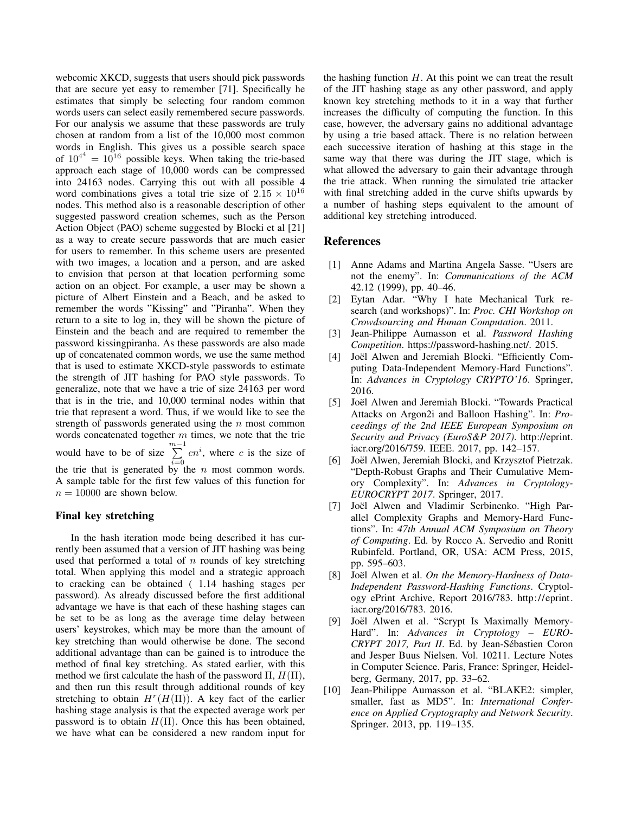webcomic XKCD, suggests that users should pick passwords that are secure yet easy to remember [71]. Specifically he estimates that simply be selecting four random common words users can select easily remembered secure passwords. For our analysis we assume that these passwords are truly chosen at random from a list of the 10,000 most common words in English. This gives us a possible search space of  $10^{4^4} = 10^{16}$  possible keys. When taking the trie-based approach each stage of 10,000 words can be compressed into 24163 nodes. Carrying this out with all possible 4 word combinations gives a total trie size of  $2.15 \times 10^{16}$ nodes. This method also is a reasonable description of other suggested password creation schemes, such as the Person Action Object (PAO) scheme suggested by Blocki et al [21] as a way to create secure passwords that are much easier for users to remember. In this scheme users are presented with two images, a location and a person, and are asked to envision that person at that location performing some action on an object. For example, a user may be shown a picture of Albert Einstein and a Beach, and be asked to remember the words "Kissing" and "Piranha". When they return to a site to log in, they will be shown the picture of Einstein and the beach and are required to remember the password kissingpiranha. As these passwords are also made up of concatenated common words, we use the same method that is used to estimate XKCD-style passwords to estimate the strength of JIT hashing for PAO style passwords. To generalize, note that we have a trie of size 24163 per word that is in the trie, and 10,000 terminal nodes within that trie that represent a word. Thus, if we would like to see the strength of passwords generated using the  $n$  most common words concatenated together  $m$  times, we note that the trie would have to be of size  $\sum_{m=1}^{m-1}$  $i=0$  $cn^i$ , where c is the size of the trie that is generated by the  $n$  most common words. A sample table for the first few values of this function for  $n = 10000$  are shown below.

### Final key stretching

In the hash iteration mode being described it has currently been assumed that a version of JIT hashing was being used that performed a total of  $n$  rounds of key stretching total. When applying this model and a strategic approach to cracking can be obtained ( 1.14 hashing stages per password). As already discussed before the first additional advantage we have is that each of these hashing stages can be set to be as long as the average time delay between users' keystrokes, which may be more than the amount of key stretching than would otherwise be done. The second additional advantage than can be gained is to introduce the method of final key stretching. As stated earlier, with this method we first calculate the hash of the password  $\Pi$ ,  $H(\Pi)$ , and then run this result through additional rounds of key stretching to obtain  $H^r(H(\Pi))$ . A key fact of the earlier hashing stage analysis is that the expected average work per password is to obtain  $H(\Pi)$ . Once this has been obtained, we have what can be considered a new random input for the hashing function  $H$ . At this point we can treat the result of the JIT hashing stage as any other password, and apply known key stretching methods to it in a way that further increases the difficulty of computing the function. In this case, however, the adversary gains no additional advantage by using a trie based attack. There is no relation between each successive iteration of hashing at this stage in the same way that there was during the JIT stage, which is what allowed the adversary to gain their advantage through the trie attack. When running the simulated trie attacker with final stretching added in the curve shifts upwards by a number of hashing steps equivalent to the amount of additional key stretching introduced.

### References

- [1] Anne Adams and Martina Angela Sasse. "Users are not the enemy". In: *Communications of the ACM* 42.12 (1999), pp. 40–46.
- [2] Eytan Adar. "Why I hate Mechanical Turk research (and workshops)". In: *Proc. CHI Workshop on Crowdsourcing and Human Computation*. 2011.
- [3] Jean-Philippe Aumasson et al. *Password Hashing Competition*. https://password-hashing.net/. 2015.
- [4] Joël Alwen and Jeremiah Blocki. "Efficiently Computing Data-Independent Memory-Hard Functions". In: *Advances in Cryptology CRYPTO'16*. Springer, 2016.
- [5] Joël Alwen and Jeremiah Blocki. "Towards Practical Attacks on Argon2i and Balloon Hashing". In: *Proceedings of the 2nd IEEE European Symposium on Security and Privacy (EuroS&P 2017)*. http://eprint. iacr.org/2016/759. IEEE. 2017, pp. 142–157.
- [6] Joël Alwen, Jeremiah Blocki, and Krzysztof Pietrzak. "Depth-Robust Graphs and Their Cumulative Memory Complexity". In: *Advances in Cryptology-EUROCRYPT 2017*. Springer, 2017.
- [7] Joël Alwen and Vladimir Serbinenko. "High Parallel Complexity Graphs and Memory-Hard Functions". In: *47th Annual ACM Symposium on Theory of Computing*. Ed. by Rocco A. Servedio and Ronitt Rubinfeld. Portland, OR, USA: ACM Press, 2015, pp. 595–603.
- [8] Joël Alwen et al. On the Memory-Hardness of Data-*Independent Password-Hashing Functions*. Cryptology ePrint Archive, Report 2016/783. http://eprint. iacr.org/2016/783. 2016.
- [9] Joël Alwen et al. "Scrypt Is Maximally Memory-Hard". In: *Advances in Cryptology – EURO-CRYPT 2017, Part II*. Ed. by Jean-Sebastien Coron ´ and Jesper Buus Nielsen. Vol. 10211. Lecture Notes in Computer Science. Paris, France: Springer, Heidelberg, Germany, 2017, pp. 33–62.
- [10] Jean-Philippe Aumasson et al. "BLAKE2: simpler, smaller, fast as MD5". In: *International Conference on Applied Cryptography and Network Security*. Springer. 2013, pp. 119–135.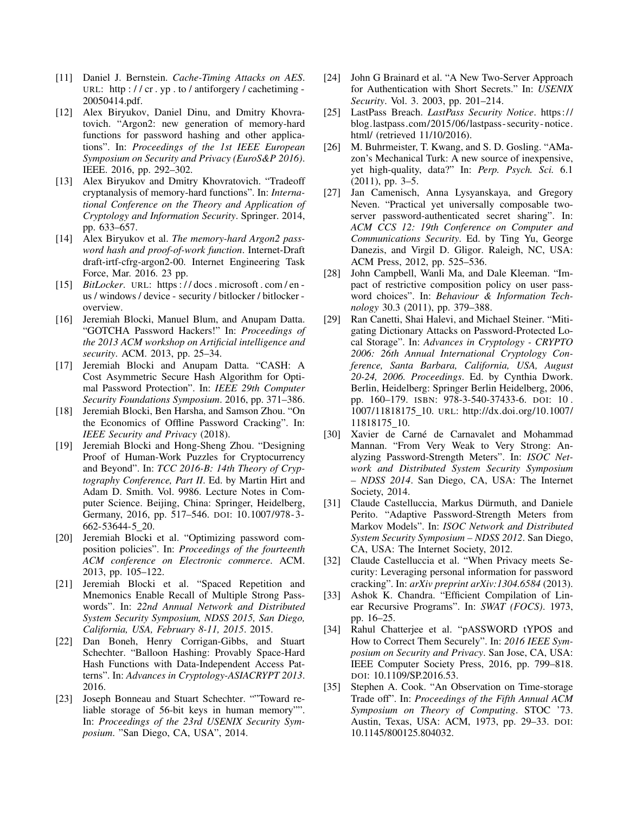- [11] Daniel J. Bernstein. *Cache-Timing Attacks on AES*. URL: http://cr.yp.to/antiforgery/cachetiming-20050414.pdf.
- [12] Alex Biryukov, Daniel Dinu, and Dmitry Khovratovich. "Argon2: new generation of memory-hard functions for password hashing and other applications". In: *Proceedings of the 1st IEEE European Symposium on Security and Privacy (EuroS&P 2016)*. IEEE. 2016, pp. 292–302.
- [13] Alex Biryukov and Dmitry Khovratovich. "Tradeoff" cryptanalysis of memory-hard functions". In: *International Conference on the Theory and Application of Cryptology and Information Security*. Springer. 2014, pp. 633–657.
- [14] Alex Biryukov et al. *The memory-hard Argon2 password hash and proof-of-work function*. Internet-Draft draft-irtf-cfrg-argon2-00. Internet Engineering Task Force, Mar. 2016. 23 pp.
- [15] *BitLocker.* URL: https://docs.microsoft.com/enus / windows / device - security / bitlocker / bitlocker overview.
- [16] Jeremiah Blocki, Manuel Blum, and Anupam Datta. "GOTCHA Password Hackers!" In: *Proceedings of the 2013 ACM workshop on Artificial intelligence and security*. ACM. 2013, pp. 25–34.
- [17] Jeremiah Blocki and Anupam Datta. "CASH: A Cost Asymmetric Secure Hash Algorithm for Optimal Password Protection". In: *IEEE 29th Computer Security Foundations Symposium*. 2016, pp. 371–386.
- [18] Jeremiah Blocki, Ben Harsha, and Samson Zhou. "On the Economics of Offline Password Cracking". In: *IEEE Security and Privacy* (2018).
- [19] Jeremiah Blocki and Hong-Sheng Zhou. "Designing Proof of Human-Work Puzzles for Cryptocurrency and Beyond". In: *TCC 2016-B: 14th Theory of Cryptography Conference, Part II*. Ed. by Martin Hirt and Adam D. Smith. Vol. 9986. Lecture Notes in Computer Science. Beijing, China: Springer, Heidelberg, Germany, 2016, pp. 517–546. DOI: 10.1007/978- 3- 662-53644-5 20.
- [20] Jeremiah Blocki et al. "Optimizing password composition policies". In: *Proceedings of the fourteenth ACM conference on Electronic commerce*. ACM. 2013, pp. 105–122.
- [21] Jeremiah Blocki et al. "Spaced Repetition and Mnemonics Enable Recall of Multiple Strong Passwords". In: *22nd Annual Network and Distributed System Security Symposium, NDSS 2015, San Diego, California, USA, February 8-11, 2015*. 2015.
- [22] Dan Boneh, Henry Corrigan-Gibbs, and Stuart Schechter. "Balloon Hashing: Provably Space-Hard Hash Functions with Data-Independent Access Patterns". In: *Advances in Cryptology-ASIACRYPT 2013*. 2016.
- [23] Joseph Bonneau and Stuart Schechter. ""Toward reliable storage of 56-bit keys in human memory"". In: *Proceedings of the 23rd USENIX Security Symposium*. "San Diego, CA, USA", 2014.
- [24] John G Brainard et al. "A New Two-Server Approach for Authentication with Short Secrets." In: *USENIX Security*. Vol. 3. 2003, pp. 201–214.
- [25] LastPass Breach. *LastPass Security Notice*. https:// blog.lastpass.com/2015/06/lastpass- security- notice. html/ (retrieved 11/10/2016).
- [26] M. Buhrmeister, T. Kwang, and S. D. Gosling. "AMazon's Mechanical Turk: A new source of inexpensive, yet high-quality, data?" In: *Perp. Psych. Sci.* 6.1 (2011), pp. 3–5.
- [27] Jan Camenisch, Anna Lysyanskaya, and Gregory Neven. "Practical yet universally composable twoserver password-authenticated secret sharing". In: *ACM CCS 12: 19th Conference on Computer and Communications Security*. Ed. by Ting Yu, George Danezis, and Virgil D. Gligor. Raleigh, NC, USA: ACM Press, 2012, pp. 525–536.
- [28] John Campbell, Wanli Ma, and Dale Kleeman. "Impact of restrictive composition policy on user password choices". In: *Behaviour & Information Technology* 30.3 (2011), pp. 379–388.
- [29] Ran Canetti, Shai Halevi, and Michael Steiner. "Mitigating Dictionary Attacks on Password-Protected Local Storage". In: *Advances in Cryptology - CRYPTO 2006: 26th Annual International Cryptology Conference, Santa Barbara, California, USA, August 20-24, 2006. Proceedings*. Ed. by Cynthia Dwork. Berlin, Heidelberg: Springer Berlin Heidelberg, 2006, pp. 160–179. ISBN: 978-3-540-37433-6. DOI: 10 . 1007/11818175 10. URL: http://dx.doi.org/10.1007/ 11818175 10.
- [30] Xavier de Carné de Carnavalet and Mohammad Mannan. "From Very Weak to Very Strong: Analyzing Password-Strength Meters". In: *ISOC Network and Distributed System Security Symposium – NDSS 2014*. San Diego, CA, USA: The Internet Society, 2014.
- [31] Claude Castelluccia, Markus Dürmuth, and Daniele Perito. "Adaptive Password-Strength Meters from Markov Models". In: *ISOC Network and Distributed System Security Symposium – NDSS 2012*. San Diego, CA, USA: The Internet Society, 2012.
- [32] Claude Castelluccia et al. "When Privacy meets Security: Leveraging personal information for password cracking". In: *arXiv preprint arXiv:1304.6584* (2013).
- [33] Ashok K. Chandra. "Efficient Compilation of Linear Recursive Programs". In: *SWAT (FOCS)*. 1973, pp. 16–25.
- [34] Rahul Chatterjee et al. "pASSWORD tYPOS and How to Correct Them Securely". In: *2016 IEEE Symposium on Security and Privacy*. San Jose, CA, USA: IEEE Computer Society Press, 2016, pp. 799–818. DOI: 10.1109/SP.2016.53.
- [35] Stephen A. Cook. "An Observation on Time-storage Trade off". In: *Proceedings of the Fifth Annual ACM Symposium on Theory of Computing*. STOC '73. Austin, Texas, USA: ACM, 1973, pp. 29–33. DOI: 10.1145/800125.804032.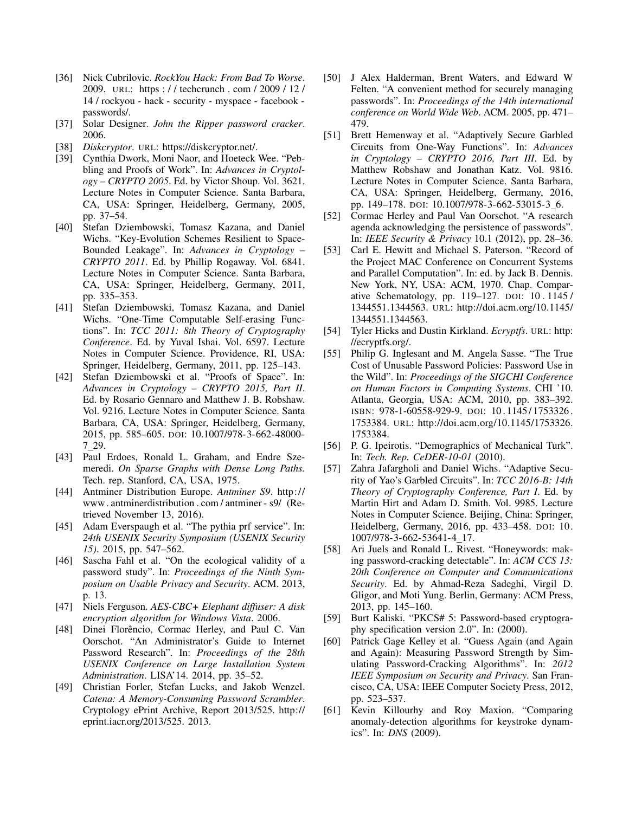- [36] Nick Cubrilovic. *RockYou Hack: From Bad To Worse*. 2009. URL: https : / / techcrunch . com / 2009 / 12 / 14 / rockyou - hack - security - myspace - facebook passwords/.
- [37] Solar Designer. *John the Ripper password cracker*. 2006.
- [38] *Diskcryptor*. URL: https://diskcryptor.net/.
- [39] Cynthia Dwork, Moni Naor, and Hoeteck Wee. "Pebbling and Proofs of Work". In: *Advances in Cryptology – CRYPTO 2005*. Ed. by Victor Shoup. Vol. 3621. Lecture Notes in Computer Science. Santa Barbara, CA, USA: Springer, Heidelberg, Germany, 2005, pp. 37–54.
- [40] Stefan Dziembowski, Tomasz Kazana, and Daniel Wichs. "Key-Evolution Schemes Resilient to Space-Bounded Leakage". In: *Advances in Cryptology – CRYPTO 2011*. Ed. by Phillip Rogaway. Vol. 6841. Lecture Notes in Computer Science. Santa Barbara, CA, USA: Springer, Heidelberg, Germany, 2011, pp. 335–353.
- [41] Stefan Dziembowski, Tomasz Kazana, and Daniel Wichs. "One-Time Computable Self-erasing Functions". In: *TCC 2011: 8th Theory of Cryptography Conference*. Ed. by Yuval Ishai. Vol. 6597. Lecture Notes in Computer Science. Providence, RI, USA: Springer, Heidelberg, Germany, 2011, pp. 125–143.
- [42] Stefan Dziembowski et al. "Proofs of Space". In: *Advances in Cryptology – CRYPTO 2015, Part II*. Ed. by Rosario Gennaro and Matthew J. B. Robshaw. Vol. 9216. Lecture Notes in Computer Science. Santa Barbara, CA, USA: Springer, Heidelberg, Germany, 2015, pp. 585–605. DOI: 10.1007/978-3-662-48000- 7 29.
- [43] Paul Erdoes, Ronald L. Graham, and Endre Szemeredi. *On Sparse Graphs with Dense Long Paths.* Tech. rep. Stanford, CA, USA, 1975.
- [44] Antminer Distribution Europe. *Antminer S9*. http:// www. antminerdistribution . com / antminer - s9/ (Retrieved November 13, 2016).
- [45] Adam Everspaugh et al. "The pythia prf service". In: *24th USENIX Security Symposium (USENIX Security 15)*. 2015, pp. 547–562.
- [46] Sascha Fahl et al. "On the ecological validity of a password study". In: *Proceedings of the Ninth Symposium on Usable Privacy and Security*. ACM. 2013, p. 13.
- [47] Niels Ferguson. *AES-CBC+ Elephant diffuser: A disk encryption algorithm for Windows Vista*. 2006.
- [48] Dinei Florêncio, Cormac Herley, and Paul C. Van Oorschot. "An Administrator's Guide to Internet Password Research". In: *Proceedings of the 28th USENIX Conference on Large Installation System Administration*. LISA'14. 2014, pp. 35–52.
- [49] Christian Forler, Stefan Lucks, and Jakob Wenzel. *Catena: A Memory-Consuming Password Scrambler*. Cryptology ePrint Archive, Report 2013/525. http:// eprint.iacr.org/2013/525. 2013.
- [50] J Alex Halderman, Brent Waters, and Edward W Felten. "A convenient method for securely managing passwords". In: *Proceedings of the 14th international conference on World Wide Web*. ACM. 2005, pp. 471– 479.
- [51] Brett Hemenway et al. "Adaptively Secure Garbled Circuits from One-Way Functions". In: *Advances in Cryptology – CRYPTO 2016, Part III*. Ed. by Matthew Robshaw and Jonathan Katz. Vol. 9816. Lecture Notes in Computer Science. Santa Barbara, CA, USA: Springer, Heidelberg, Germany, 2016, pp. 149–178. DOI: 10.1007/978-3-662-53015-3\_6.
- [52] Cormac Herley and Paul Van Oorschot. "A research agenda acknowledging the persistence of passwords". In: *IEEE Security & Privacy* 10.1 (2012), pp. 28–36.
- [53] Carl E. Hewitt and Michael S. Paterson. "Record of the Project MAC Conference on Concurrent Systems and Parallel Computation". In: ed. by Jack B. Dennis. New York, NY, USA: ACM, 1970. Chap. Comparative Schematology, pp. 119–127. DOI: 10 . 1145 / 1344551.1344563. URL: http://doi.acm.org/10.1145/ 1344551.1344563.
- [54] Tyler Hicks and Dustin Kirkland. *Ecryptfs*. URL: http: //ecryptfs.org/.
- [55] Philip G. Inglesant and M. Angela Sasse. "The True Cost of Unusable Password Policies: Password Use in the Wild". In: *Proceedings of the SIGCHI Conference on Human Factors in Computing Systems*. CHI '10. Atlanta, Georgia, USA: ACM, 2010, pp. 383–392. ISBN: 978-1-60558-929-9. DOI: 10 . 1145 / 1753326 . 1753384. URL: http://doi.acm.org/10.1145/1753326. 1753384.
- [56] P. G. Ipeirotis. "Demographics of Mechanical Turk". In: *Tech. Rep. CeDER-10-01* (2010).
- [57] Zahra Jafargholi and Daniel Wichs. "Adaptive Security of Yao's Garbled Circuits". In: *TCC 2016-B: 14th Theory of Cryptography Conference, Part I*. Ed. by Martin Hirt and Adam D. Smith. Vol. 9985. Lecture Notes in Computer Science. Beijing, China: Springer, Heidelberg, Germany, 2016, pp. 433–458. DOI: 10. 1007/978-3-662-53641-4 17.
- [58] Ari Juels and Ronald L. Rivest. "Honeywords: making password-cracking detectable". In: *ACM CCS 13: 20th Conference on Computer and Communications Security*. Ed. by Ahmad-Reza Sadeghi, Virgil D. Gligor, and Moti Yung. Berlin, Germany: ACM Press, 2013, pp. 145–160.
- [59] Burt Kaliski. "PKCS# 5: Password-based cryptography specification version 2.0". In: (2000).
- [60] Patrick Gage Kelley et al. "Guess Again (and Again and Again): Measuring Password Strength by Simulating Password-Cracking Algorithms". In: *2012 IEEE Symposium on Security and Privacy*. San Francisco, CA, USA: IEEE Computer Society Press, 2012, pp. 523–537.
- [61] Kevin Killourhy and Roy Maxion. "Comparing anomaly-detection algorithms for keystroke dynamics". In: *DNS* (2009).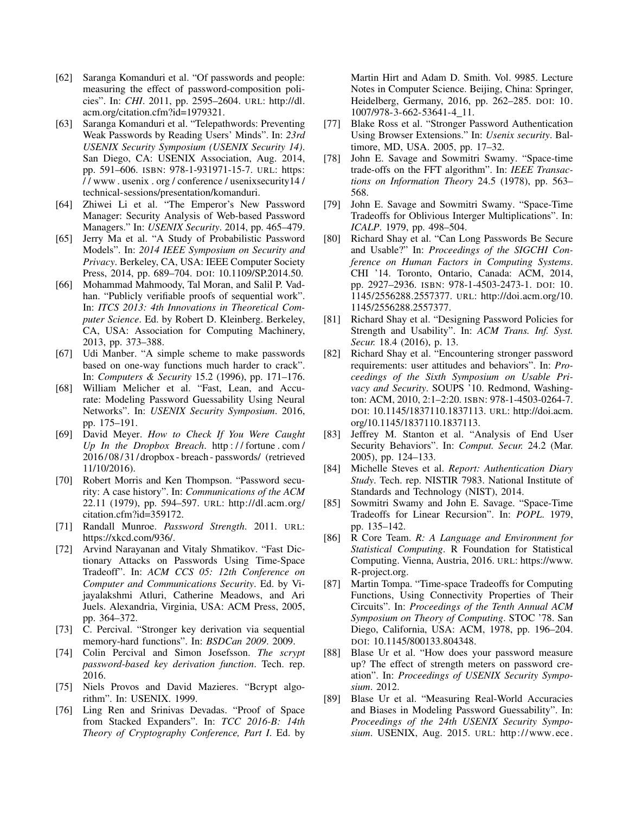- [62] Saranga Komanduri et al. "Of passwords and people: measuring the effect of password-composition policies". In: *CHI*. 2011, pp. 2595–2604. URL: http://dl. acm.org/citation.cfm?id=1979321.
- [63] Saranga Komanduri et al. "Telepathwords: Preventing Weak Passwords by Reading Users' Minds". In: *23rd USENIX Security Symposium (USENIX Security 14)*. San Diego, CA: USENIX Association, Aug. 2014, pp. 591–606. ISBN: 978-1-931971-15-7. URL: https: / / www . usenix . org / conference / usenixsecurity14 / technical-sessions/presentation/komanduri.
- [64] Zhiwei Li et al. "The Emperor's New Password Manager: Security Analysis of Web-based Password Managers." In: *USENIX Security*. 2014, pp. 465–479.
- [65] Jerry Ma et al. "A Study of Probabilistic Password Models". In: *2014 IEEE Symposium on Security and Privacy*. Berkeley, CA, USA: IEEE Computer Society Press, 2014, pp. 689–704. DOI: 10.1109/SP.2014.50.
- [66] Mohammad Mahmoody, Tal Moran, and Salil P. Vadhan. "Publicly verifiable proofs of sequential work". In: *ITCS 2013: 4th Innovations in Theoretical Computer Science*. Ed. by Robert D. Kleinberg. Berkeley, CA, USA: Association for Computing Machinery, 2013, pp. 373–388.
- [67] Udi Manber. "A simple scheme to make passwords based on one-way functions much harder to crack". In: *Computers & Security* 15.2 (1996), pp. 171–176.
- [68] William Melicher et al. "Fast, Lean, and Accurate: Modeling Password Guessability Using Neural Networks". In: *USENIX Security Symposium*. 2016, pp. 175–191.
- [69] David Meyer. *How to Check If You Were Caught Up In the Dropbox Breach*. http : / / fortune . com / 2016/ 08/ 31/ dropbox - breach - passwords/ (retrieved 11/10/2016).
- [70] Robert Morris and Ken Thompson. "Password security: A case history". In: *Communications of the ACM* 22.11 (1979), pp. 594–597. URL: http://dl.acm.org/ citation.cfm?id=359172.
- [71] Randall Munroe. *Password Strength*. 2011. URL: https://xkcd.com/936/.
- [72] Arvind Narayanan and Vitaly Shmatikov. "Fast Dictionary Attacks on Passwords Using Time-Space Tradeoff". In: *ACM CCS 05: 12th Conference on Computer and Communications Security*. Ed. by Vijayalakshmi Atluri, Catherine Meadows, and Ari Juels. Alexandria, Virginia, USA: ACM Press, 2005, pp. 364–372.
- [73] C. Percival. "Stronger key derivation via sequential memory-hard functions". In: *BSDCan 2009*. 2009.
- [74] Colin Percival and Simon Josefsson. *The scrypt password-based key derivation function*. Tech. rep. 2016.
- [75] Niels Provos and David Mazieres. "Bcrypt algorithm". In: USENIX. 1999.
- [76] Ling Ren and Srinivas Devadas. "Proof of Space from Stacked Expanders". In: *TCC 2016-B: 14th Theory of Cryptography Conference, Part I*. Ed. by

Martin Hirt and Adam D. Smith. Vol. 9985. Lecture Notes in Computer Science. Beijing, China: Springer, Heidelberg, Germany, 2016, pp. 262–285. DOI: 10. 1007/978-3-662-53641-4 11.

- [77] Blake Ross et al. "Stronger Password Authentication Using Browser Extensions." In: *Usenix security*. Baltimore, MD, USA. 2005, pp. 17–32.
- [78] John E. Savage and Sowmitri Swamy. "Space-time trade-offs on the FFT algorithm". In: *IEEE Transactions on Information Theory* 24.5 (1978), pp. 563– 568.
- [79] John E. Savage and Sowmitri Swamy. "Space-Time Tradeoffs for Oblivious Interger Multiplications". In: *ICALP*. 1979, pp. 498–504.
- [80] Richard Shay et al. "Can Long Passwords Be Secure and Usable?" In: *Proceedings of the SIGCHI Conference on Human Factors in Computing Systems*. CHI '14. Toronto, Ontario, Canada: ACM, 2014, pp. 2927–2936. ISBN: 978-1-4503-2473-1. DOI: 10. 1145/2556288.2557377. URL: http://doi.acm.org/10. 1145/2556288.2557377.
- [81] Richard Shay et al. "Designing Password Policies for Strength and Usability". In: *ACM Trans. Inf. Syst. Secur.* 18.4 (2016), p. 13.
- [82] Richard Shay et al. "Encountering stronger password requirements: user attitudes and behaviors". In: *Proceedings of the Sixth Symposium on Usable Privacy and Security*. SOUPS '10. Redmond, Washington: ACM, 2010, 2:1–2:20. ISBN: 978-1-4503-0264-7. DOI: 10.1145/1837110.1837113. URL: http://doi.acm. org/10.1145/1837110.1837113.
- [83] Jeffrey M. Stanton et al. "Analysis of End User Security Behaviors". In: *Comput. Secur.* 24.2 (Mar. 2005), pp. 124–133.
- [84] Michelle Steves et al. *Report: Authentication Diary Study*. Tech. rep. NISTIR 7983. National Institute of Standards and Technology (NIST), 2014.
- [85] Sowmitri Swamy and John E. Savage. "Space-Time Tradeoffs for Linear Recursion". In: *POPL*. 1979, pp. 135–142.
- [86] R Core Team. *R: A Language and Environment for Statistical Computing*. R Foundation for Statistical Computing. Vienna, Austria, 2016. URL: https://www. R-project.org.
- [87] Martin Tompa. "Time-space Tradeoffs for Computing Functions, Using Connectivity Properties of Their Circuits". In: *Proceedings of the Tenth Annual ACM Symposium on Theory of Computing*. STOC '78. San Diego, California, USA: ACM, 1978, pp. 196–204. DOI: 10.1145/800133.804348.
- [88] Blase Ur et al. "How does your password measure up? The effect of strength meters on password creation". In: *Proceedings of USENIX Security Symposium*. 2012.
- [89] Blase Ur et al. "Measuring Real-World Accuracies and Biases in Modeling Password Guessability". In: *Proceedings of the 24th USENIX Security Symposium*. USENIX, Aug. 2015. URL: http://www.ece.